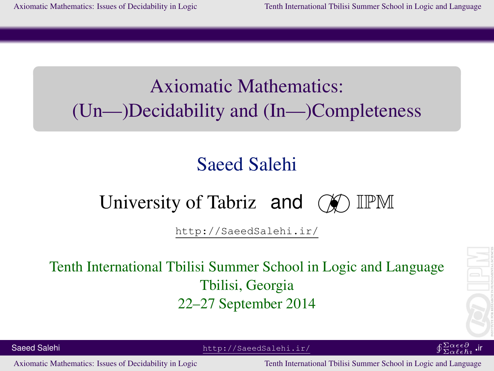# Axiomatic Mathematics: (Un—)Decidability and (In—)Completeness

# Saeed Salehi

# University of Tabriz and  $(\mathcal{N})$  IPM

http://SaeedSalehi.ir/

## Tenth International Tbilisi Summer School in Logic and Language Tbilisi, Georgia 22–27 September 2014



<span id="page-0-0"></span> $\overline{\Sigma}\alpha \ell \epsilon \hbar \imath$ ir

Saeed Salehi http://SaeedSalehi.ir/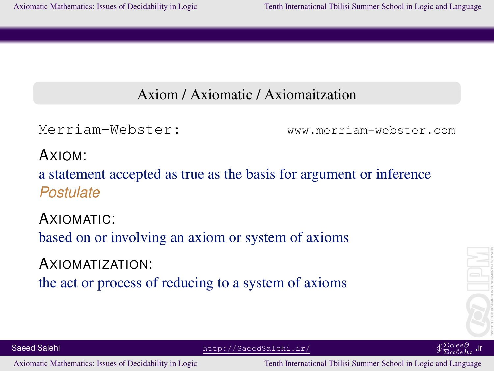#### Axiom / Axiomatic / Axiomaitzation

Merriam-Webster: www.merriam-webster.com

AXIOM:

a statement accepted as true as the basis for argument or inference *Postulate*

AXIOMATIC: based on or involving an axiom or system of axioms

AXIOMATIZATION: the act or process of reducing to a system of axioms





Saeed Salehi http://SaeedSalehi.ir/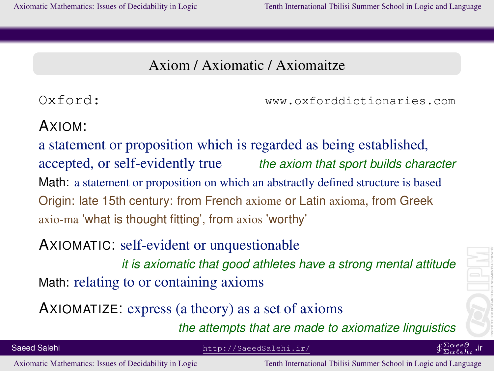### Axiom / Axiomatic / Axiomaitze

Oxford: www.oxforddictionaries.com

#### AXIOM:

a statement or proposition which is regarded as being established, accepted, or self-evidently true *the axiom that sport builds character* Math: a statement or proposition on which an abstractly defined structure is based Origin: late 15th century: from French axiome or Latin axioma, from Greek axio-ma 'what is thought fitting', from axios 'worthy'

### AXIOMATIC: self-evident or unquestionable

*it is axiomatic that good athletes have a strong mental attitude* Math: relating to or containing axioms

AXIOMATIZE: express (a theory) as a set of axioms

*the attempts that are made to axiomatize linguistics*

 $\overline{\Sigma}\alpha \ell \epsilon \hbar \imath$ ir

Saeed Salehi http://SaeedSalehi.ir/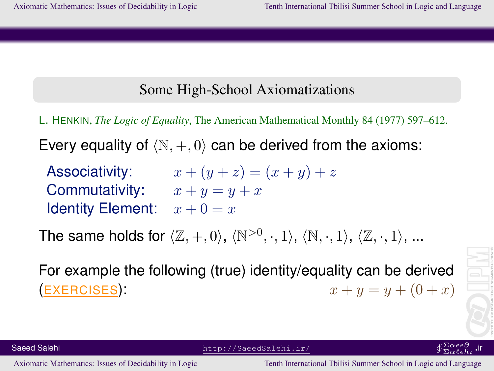#### Some High-School Axiomatizations

L. HENKIN, *The Logic of Equality*, The American Mathematical Monthly 84 (1977) 597–612.

Every equality of  $\langle \mathbb{N}, +, 0 \rangle$  can be derived from the axioms:

Associativity:  $x + (y + z) = (x + y) + z$ Commutativity:  $x + y = y + x$ Identity Element:  $x + 0 = x$ 

The same holds for  $\langle \mathbb{Z}, +, 0 \rangle$ ,  $\langle \mathbb{N}^{>0}, \cdot, 1 \rangle$ ,  $\langle \mathbb{N}, \cdot, 1 \rangle$ ,  $\langle \mathbb{Z}, \cdot, 1 \rangle$ , ...

For example the following (true) identity/equality can be derived (EXERCISES):  $x + y = y + (0 + x)$ 



 $\overline{\Sigma}\alpha \ell \epsilon \hbar \imath$ 

Saeed Salehi http://SaeedSalehi.ir/

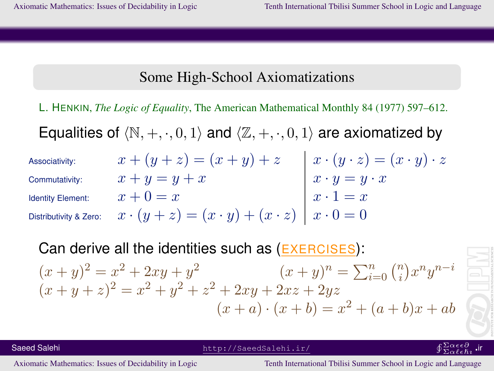#### Some High-School Axiomatizations

L. HENKIN, *The Logic of Equality*, The American Mathematical Monthly 84 (1977) 597–612.

Equalities of  $\langle \mathbb{N}, +, \cdot, 0, 1 \rangle$  and  $\langle \mathbb{Z}, +, \cdot, 0, 1 \rangle$  are axiomatized by

Associativity:  $x + (y + z) = (x + y) + z \quad | \; x \cdot (y \cdot z) = (x \cdot y) \cdot z$ Commutativity:  $x + y = y + x$   $x \cdot y = y \cdot x$ Identity Element:  $x + 0 = x$   $x \cdot 1 = x$ Distributivity & Zero:  $x \cdot (y + z) = (x \cdot y) + (x \cdot z) \,\mid\, x \cdot 0 = 0$ 

Can derive all the identities such as (EXERCISES):  $(x+y)^2 = x^2 + 2xy + y^2$   $(x+y)^n = \sum_{i=0}^n {n \choose i}$  $\binom{n}{i} x^n y^{n-i}$  $(x+y+z)^2 = x^2 + y^2 + z^2 + 2xy + 2xz + 2yz$  $(x + a) \cdot (x + b) = x^2 + (a + b)x + ab$ 

 $\overline{\Sigma}\alpha \ell \epsilon \hbar \imath$ ir

Saeed Salehi http://SaeedSalehi.ir/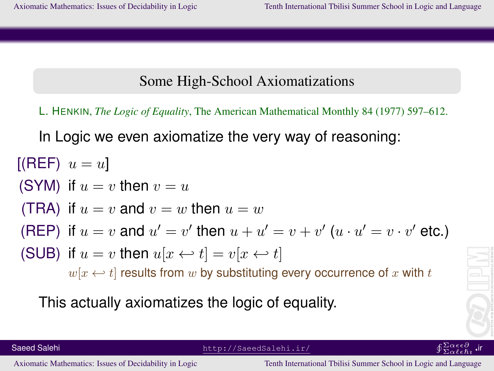#### Some High-School Axiomatizations

L. HENKIN, *The Logic of Equality*, The American Mathematical Monthly 84 (1977) 597–612.

In Logic we even axiomatize the very way of reasoning:

\n- [ (REF) 
$$
u = u
$$
]
\n- (SYM) if  $u = v$  then  $v = u$
\n- (TRA) if  $u = v$  and  $v = w$  then  $u = w$
\n- (REP) if  $u = v$  and  $u' = v'$  then  $u + u' = v + v'$  ( $u \cdot u' = v \cdot v'$  etc.)
\n- (SUB) if  $u = v$  then  $u[x \leftrightarrow t] = v[x \leftrightarrow t]$   $w[x \leftrightarrow t]$  results from  $w$  by substituting every occurrence of  $x$  with  $t$
\n

This actually axiomatizes the logic of equality.

Saeed Salehi http://SaeedSalehi.ir/

$$
\oint \frac{\sum \alpha \epsilon \epsilon \partial}{\sum \alpha \ell \epsilon \hslash i}
$$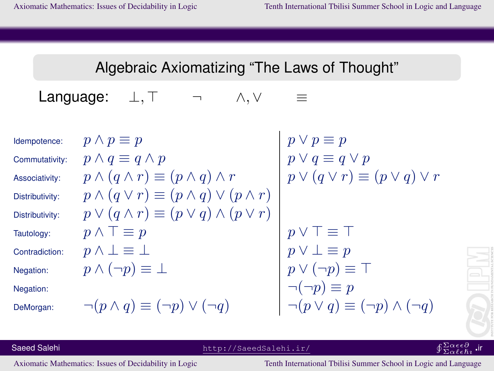### Algebraic Axiomatizing "The Laws of Thought"

Language:  $\bot, \top$   $\neg$   $\wedge, \vee$   $\equiv$ 

Distributivity:  $p \wedge$ Distributivity:  $p \vee$ 

| Idempotence:    | \n $p \land p \equiv p$ \n                                    | \n $p \land q \equiv q \land p$ \n                            | \n $p \lor p \equiv p$ \n                                     |                                                              |
|-----------------|---------------------------------------------------------------|---------------------------------------------------------------|---------------------------------------------------------------|--------------------------------------------------------------|
| Commutativity:  | \n $p \land (q \land r) \equiv (p \land q) \land r$ \n        | \n $p \lor (q \lor r) \equiv (p \land q) \lor (p \land r)$ \n | \n $p \lor (q \lor r) \equiv (p \land q) \lor (p \land r)$ \n | \n $p \lor (q \lor r) \equiv (p \lor q) \lor (p \land r)$ \n |
| Distributivity: | \n $p \lor (q \land r) \equiv (p \lor q) \land (p \lor r)$ \n | \n $p \lor (q \lor r) \equiv (p \lor q) \land (p \lor r)$ \n  |                                                               |                                                              |
| Tautology:      | \n $p \land \bot \equiv p$ \n                                 | \n $p \land \bot \equiv p$ \n                                 | \n $p \lor \bot \equiv p$ \n                                  |                                                              |
| Confraction:    | \n $p \land (\neg p) \equiv \bot$ \n                          | \n $p \lor \bot \equiv p$ \n                                  | \n $p \lor (\neg p) \equiv \top$ \n                           |                                                              |
| Negation:       | \n $\neg (p \land q) \equiv (\neg p) \lor (\neg q)$ \n        | \n $\neg (\neg p) \equiv p$ \n                                |                                                               |                                                              |
| DeMorgan:       | \n $\neg (p \land q) \equiv (\neg p) \land (\neg q)$ \n       | \n $\neg (p \lor q) \equiv (\neg p) \land (\neg q)$ \n        |                                                               |                                                              |



Saeed Salehi http://SaeedSalehi.ir/

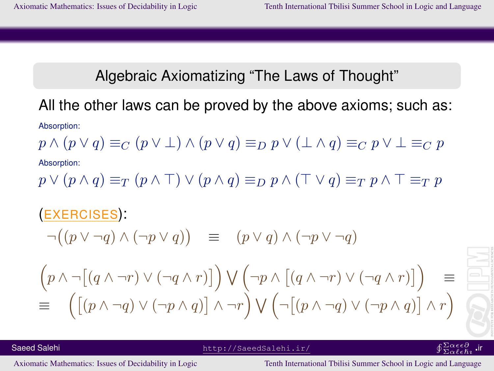#### Algebraic Axiomatizing "The Laws of Thought"

## All the other laws can be proved by the above axioms; such as:

Absorption:

$$
p \land (p \lor q) \equiv_C (p \lor \bot) \land (p \lor q) \equiv_D p \lor (\bot \land q) \equiv_C p \lor \bot \equiv_C p
$$
   
Absorption:

 $p \vee (p \wedge q) \equiv_T (p \wedge \top) \vee (p \wedge q) \equiv_D p \wedge (\top \vee q) \equiv_T p \wedge \top \equiv_T p$ 

# (EXERCISES):  $\neg((p \lor \neg q) \land (\neg p \lor q)) \equiv (p \lor q) \land (\neg p \lor \neg q)$  $\left(p \wedge \neg[(q \wedge \neg r) \vee (\neg q \wedge r)]\right) \vee \neg p \wedge \left[(q \wedge \neg r) \vee (\neg q \wedge r)\right]$ ≡  $\equiv \left( \left[ (p \wedge \neg q) \vee (\neg p \wedge q) \right] \wedge \neg r \right) \vee \left( \neg \left[ (p \wedge \neg q) \vee (\neg p \wedge q) \right] \wedge r \right)$

 $\overline{\Sigma}\alpha \ell \epsilon \hbar \imath$ ir

Saeed Salehi http://SaeedSalehi.ir/ uΣα∂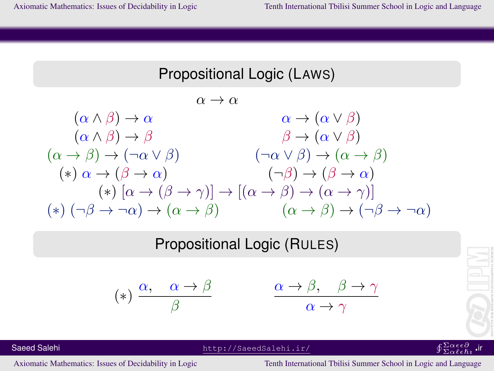#### Propositional Logic (LAWS)

 $\alpha \rightarrow \alpha$  $(\alpha \wedge \beta) \rightarrow \alpha$   $\alpha \rightarrow (\alpha \vee \beta)$  $(\alpha \wedge \beta) \rightarrow \beta$   $\beta \rightarrow (\alpha \vee \beta)$  $(\alpha \to \beta) \to (\neg \alpha \lor \beta)$   $(\neg \alpha \lor \beta) \to (\alpha \to \beta)$ (\*)  $\alpha \to (\beta \to \alpha)$  (¬ $\beta$ )  $\to (\beta \to \alpha)$  $(*) [\alpha \rightarrow (\beta \rightarrow \gamma)] \rightarrow [(\alpha \rightarrow \beta) \rightarrow (\alpha \rightarrow \gamma)]$ (\*)  $(\neg \beta \rightarrow \neg \alpha) \rightarrow (\alpha \rightarrow \beta)$   $(\alpha \rightarrow \beta) \rightarrow (\neg \beta \rightarrow \neg \alpha)$ 

#### Propositional Logic (RULES)

$$
(*) \frac{\alpha, \quad \alpha \to \beta}{\beta}
$$

$$
\frac{\alpha \to \beta, \quad \beta \to \gamma}{\alpha \to \gamma}
$$

Saeed Salehi http://SaeedSalehi.ir/ uΣα∂

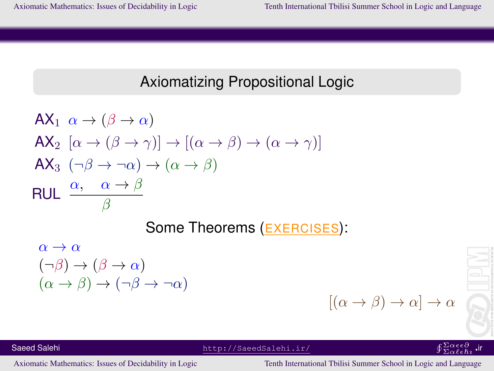### Axiomatizing Propositional Logic

$$
AX_1 \alpha \rightarrow (\beta \rightarrow \alpha)
$$
  
\n
$$
AX_2 [\alpha \rightarrow (\beta \rightarrow \gamma)] \rightarrow [(\alpha \rightarrow \beta) \rightarrow (\alpha \rightarrow \gamma)]
$$
  
\n
$$
AX_3 (\neg \beta \rightarrow \neg \alpha) \rightarrow (\alpha \rightarrow \beta)
$$
  
\n
$$
RUL \xrightarrow{\alpha, \alpha \rightarrow \beta} \beta
$$

Some Theorems (EXERCISES):

$$
\alpha \to \alpha \n(\neg \beta) \to (\beta \to \alpha) \n(\alpha \to \beta) \to (\neg \beta \to \neg \alpha)
$$

 $[(\alpha \to \beta) \to \alpha] \to \alpha$ 



#### $^{\Sigma\alpha\epsilon\epsilon\partial}_{\Sigma\alpha\ell\epsilon\hbar\imath}$  .ir

Saeed Salehi http://SaeedSalehi.ir/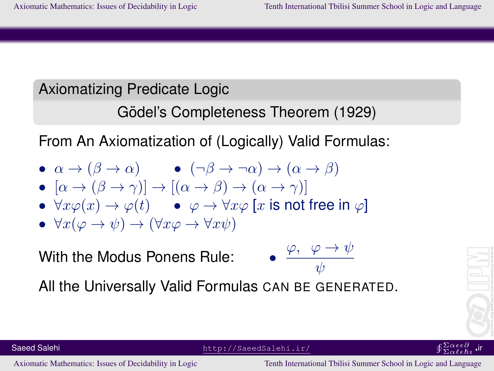## Axiomatizing Predicate Logic

```
Gödel's Completeness Theorem (1929)
```
From An Axiomatization of (Logically) Valid Formulas:

- $\alpha \to (\beta \to \alpha)$   $(\neg \beta \to \neg \alpha) \to (\alpha \to \beta)$
- $[\alpha \rightarrow (\beta \rightarrow \gamma)] \rightarrow [(\alpha \rightarrow \beta) \rightarrow (\alpha \rightarrow \gamma)]$
- $\forall x \varphi(x) \rightarrow \varphi(t)$   $\varphi \rightarrow \forall x \varphi [x \text{ is not free in } \varphi]$
- $\forall x(\varphi \to \psi) \to (\forall x \varphi \to \forall x \psi)$

With the Modus Ponens Rule:

Saeed Salehi http://SaeedSalehi.ir/ uΣα∂

$$
\frac{\varphi, \varphi \to \psi}{\psi}
$$

All the Universally Valid Formulas CAN BE GENERATED.



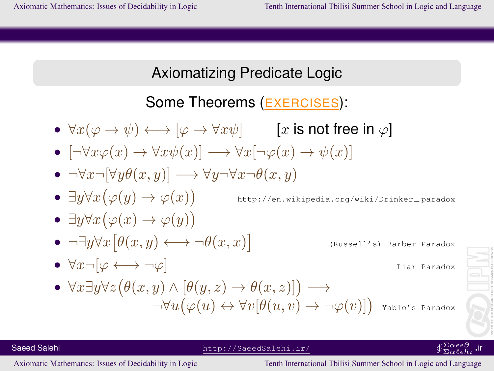### Axiomatizing Predicate Logic

## Some Theorems (EXERCISES):

- $\forall x(\varphi \to \psi) \longleftrightarrow [\varphi \to \forall x \psi]$  [x is not free in  $\varphi$ ]
- $[\neg \forall x \varphi(x) \rightarrow \forall x \psi(x)] \rightarrow \forall x [\neg \varphi(x) \rightarrow \psi(x)]$
- $\neg \forall x \neg [\forall y \theta(x, y)] \longrightarrow \forall y \neg \forall x \neg \theta(x, y)$
- $\exists y \forall x (\varphi(y) \rightarrow \varphi(x))$

http://en.wikipedia.org/wiki/Drinker−paradox

- $\exists y \forall x (\varphi(x) \rightarrow \varphi(y))$
- $\neg \exists y \forall x \left[ \theta(x, y) \longleftrightarrow \neg \theta(x, x) \right]$

(Russell's) Barber Paradox

•  $\forall x \neg [\varphi \longleftrightarrow \neg \varphi]$  Liar Paradox

Yablo's Paradox

 $\bullet \ \forall x \exists y \forall z (\theta(x, y) \land [\theta(y, z) \rightarrow \theta(x, z)]) \longrightarrow$  $\neg\forall u (\varphi(u) \leftrightarrow \forall v [\theta(u, v) \rightarrow \neg\varphi(v)])$  ir

Saeed Salehi http://SaeedSalehi.ir/

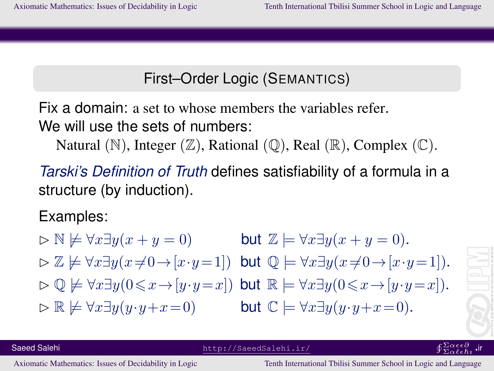## First–Order Logic (SEMANTICS)

Fix a domain: a set to whose members the variables refer. We will use the sets of numbers:

Natural  $(\mathbb{N})$ , Integer  $(\mathbb{Z})$ , Rational  $(\mathbb{Q})$ , Real  $(\mathbb{R})$ , Complex  $(\mathbb{C})$ .

*Tarski's Definition of Truth* defines satisfiability of a formula in a structure (by induction).

Examples:

$$
\triangleright \mathbb{N} \not\models \forall x \exists y (x + y = 0) \qquad \text{but } \mathbb{Z} \models \forall x \exists y (x + y = 0).
$$
  
\n
$$
\triangleright \mathbb{Z} \not\models \forall x \exists y (x \neq 0 \rightarrow [x \cdot y = 1]) \text{ but } \mathbb{Q} \models \forall x \exists y (x \neq 0 \rightarrow [x \cdot y = 1]).
$$
  
\n
$$
\triangleright \mathbb{Q} \not\models \forall x \exists y (0 \leq x \rightarrow [y \cdot y = x]) \text{ but } \mathbb{R} \models \forall x \exists y (0 \leq x \rightarrow [y \cdot y = x]).
$$
  
\n
$$
\triangleright \mathbb{R} \not\models \forall x \exists y (y \cdot y + x = 0) \qquad \text{but } \mathbb{C} \models \forall x \exists y (y \cdot y + x = 0).
$$



 $\overline{\Sigma}\alpha \ell \epsilon \hbar \imath$ ir

Saeed Salehi http://SaeedSalehi.ir/ uΣα∂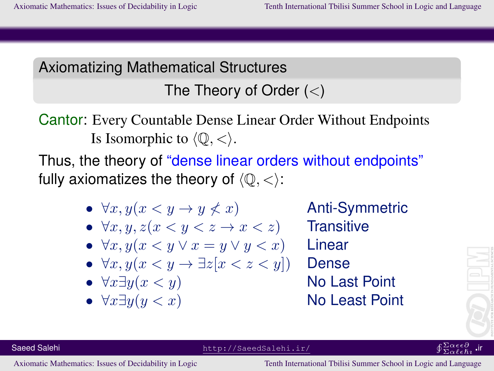The Theory of Order  $(<)$ 

Cantor: Every Countable Dense Linear Order Without Endpoints Is Isomorphic to  $\langle \mathbb{Q}, \langle \rangle$ .

Thus, the theory of "dense linear orders without endpoints" fully axiomatizes the theory of  $(0, <)$ :

•  $\forall x, y(x \leq y \rightarrow y \leq x)$  Anti-Symmetric

Saeed Salehi http://SaeedSalehi.ir/

- $\forall x, y, z(x \leq y \leq z \rightarrow x \leq z)$  Transitive
- $\forall x, y(x \leq y \lor x = y \lor y \leq x)$  Linear
- $\forall x, y(x < y \rightarrow \exists z [x < z < y])$  Dense
- 
- 

•  $\forall x \exists y (x \leq y)$  No Last Point •  $\forall x \exists y (y < x)$  No Least Point



#### $\overline{\Sigma}\alpha \ell \epsilon \hbar \imath$ ir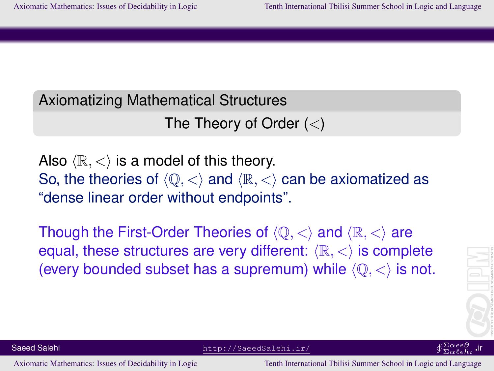The Theory of Order  $(<)$ 

Also  $\langle \mathbb{R}, \langle \rangle$  is a model of this theory. So, the theories of  $\langle \mathbb{Q}, \langle \rangle$  and  $\langle \mathbb{R}, \langle \rangle$  can be axiomatized as "dense linear order without endpoints".

Though the First-Order Theories of  $\langle \mathbb{Q}, \langle \rangle$  and  $\langle \mathbb{R}, \langle \rangle$  are equal, these structures are very different:  $\langle \mathbb{R}, \langle \rangle$  is complete (every bounded subset has a supremum) while  $\langle \mathbb{O}, \langle \rangle$  is not.





Saeed Salehi http://SaeedSalehi.ir/ uΣα∂∂α∂α∂αdehi.ir/ uΣα∂∂α∂α∂αdehi.ir/ uΣα∂∂α∂α∂α∂α∂α∂α∂α∂α∂α∂α∂α∂α∂α∂α∂α∂α∂α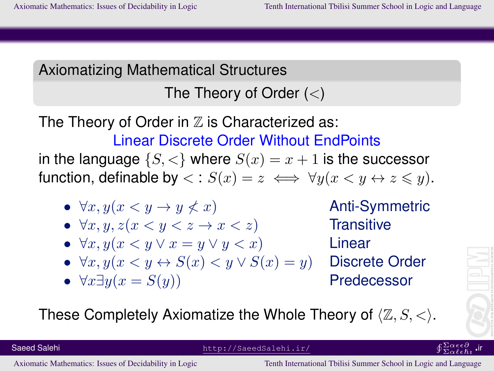## The Theory of Order  $(<)$

The Theory of Order in  $\mathbb Z$  is Characterized as: Linear Discrete Order Without EndPoints in the language  $\{S, \langle\}$  where  $S(x) = x + 1$  is the successor function, definable by  $\langle g : S(x) = z \iff \forall y (x \leq y \leftrightarrow z \leq y)$ .

- $\forall x, y(x \leq y \rightarrow y \leq x)$  Anti-Symmetric
- $\forall x, y, z(x \leq y \leq z \rightarrow x \leq z)$  Transitive
- $\forall x, y (x \leq y \lor x = y \lor y \leq x)$  Linear
- $\forall x, y(x \leq y \leftrightarrow S(x) \leq y \vee S(x) = y)$  Discrete Order
- $\forall x \exists y (x = S(y))$  Predecessor

These Completely Axiomatize the Whole Theory of  $\langle \mathbb{Z}, S, \langle \rangle$ .



Saeed Salehi http://SaeedSalehi.ir/ uΣα∂∂α∂α∂αdehi.ir/ uΣα∂∂α∂α∂αdehi.ir/ uΣα∂∂α∂α∂α∂α∂α∂α∂α∂α∂α∂α∂α∂α∂α∂α∂α∂α∂α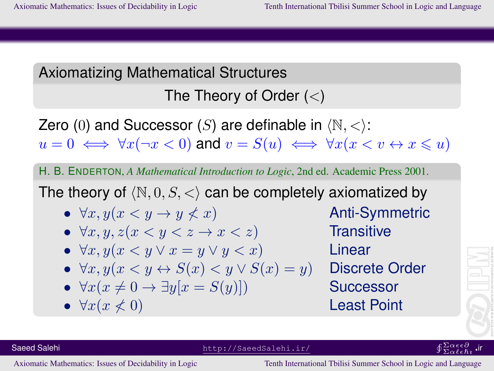## The Theory of Order  $(<)$

Zero (0) and Successor (S) are definable in  $\langle \mathbb{N}, \langle \rangle$ :  $u = 0 \iff \forall x (\neg x < 0)$  and  $v = S(u) \iff \forall x (x < v \leftrightarrow x \leq u)$ 

H. B. ENDERTON, *A Mathematical Introduction to Logic*, 2nd ed. Academic Press 2001.

The theory of  $\langle \mathbb{N}, 0, S, \langle \rangle$  can be completely axiomatized by

- $\forall x, y(x \leq y \rightarrow y \leq x)$  Anti-Symmetric
- $\forall x, y, z(x \leq y \leq z \rightarrow x \leq z)$  Transitive
- $\forall x, y(x \leq y \lor x = y \lor y \leq x)$  Linear
- $\forall x, y(x \leq y \leftrightarrow S(x) \leq y \vee S(x) = y)$  Discrete Order
- $\forall x(x \neq 0 \rightarrow \exists y[x = S(y)])$  Successor

Saeed Salehi http://SaeedSalehi.ir/

•  $\forall x (x \leq 0)$  Least Point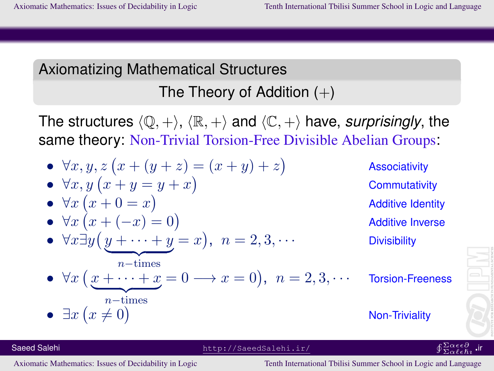## Axiomatizing Mathematical Structures The Theory of Addition  $(+)$

The structures  $\langle \mathbb{Q}, +\rangle$ ,  $\langle \mathbb{R}, +\rangle$  and  $\langle \mathbb{C}, +\rangle$  have, *surprisingly*, the same theory: Non-Trivial Torsion-Free Divisible Abelian Groups:

\n- \n
$$
\forall x, y, z \ (x + (y + z) = (x + y) + z)
$$
\n
\n- \n
$$
\forall x, y \ (x + y = y + x)
$$
\n
\n- \n
$$
\forall x \ (x + 0 = x)
$$
\n
\n- \n
$$
\forall x \ (x + (-x) = 0)
$$
\n
\n- \n
$$
\forall x \ (x + (-x) = 0)
$$
\n
\n- \n
$$
\forall x \ (y + \cdots + y = x), \ n = 2, 3, \cdots
$$
\n
\n- \n
$$
\forall x \ (x + \cdots + x = 0 \rightarrow x = 0), \ n = 2, 3, \cdots
$$
\n
\n- \n
$$
\exists x \ (x \neq 0)
$$
\n
\n- \n
$$
\exists x \ (x \neq 0)
$$
\n
\n- \n
$$
\forall x \ (y + \cdots + x = 0 \rightarrow x = 0), \ n = 2, 3, \cdots
$$
\n
\n- \n
$$
\forall x \ (x + \cdots + x = 0 \rightarrow x = 0), \ n = 2, 3, \cdots
$$
\n
\n- \n
$$
\forall x \ (x + \cdots + x = 0 \rightarrow x = 0), \ n = 2, 3, \cdots
$$
\n
\n- \n
$$
\forall x \ (x + \cdots + x = 0 \rightarrow x = 0), \ n = 2, 3, \cdots
$$
\n
\n- \n
$$
\forall x \ (x + \cdots + x = 0 \rightarrow x = 0), \ n = 2, 3, \cdots
$$
\n
\n- \n
$$
\forall x \ (x + \cdots + x = 0 \rightarrow x = 0), \ n = 2, 3, \cdots
$$
\n
\n

Saeed Salehi http://SaeedSalehi.ir/

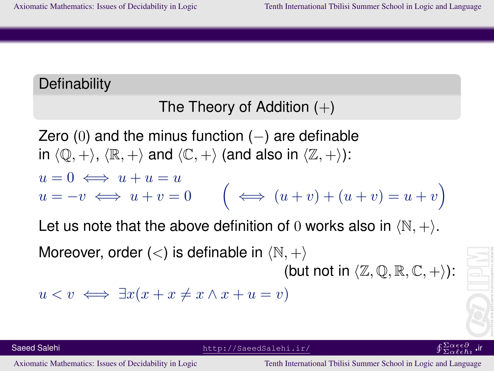## **Definability**

## The Theory of Addition  $(+)$

Zero (0) and the minus function  $(-)$  are definable in  $\langle \mathbb{Q}, +\rangle$ ,  $\langle \mathbb{R}, +\rangle$  and  $\langle \mathbb{C}, +\rangle$  (and also in  $\langle \mathbb{Z}, +\rangle$ ):  $u = 0 \iff u + u = u$  $u = -v \iff u + v = 0$  $\iff (u + v) + (u + v) = u + v$ 

Let us note that the above definition of 0 works also in  $\langle \mathbb{N}, + \rangle$ . Moreover, order  $(<)$  is definable in  $\langle \mathbb{N}, + \rangle$ (but not in  $\langle \mathbb{Z}, \mathbb{Q}, \mathbb{R}, \mathbb{C}, +\rangle$ ):

$$
u < v \iff \exists x (x + x \neq x \land x + u = v)
$$

Saeed Salehi http://SaeedSalehi.ir/ uΣα∂∂α∂α∂αdehi.ir/ uΣα∂∂α∂α∂αdehi.ir/ uΣα∂∂α∂α∂α∂α∂α∂α∂α∂α∂α∂α∂α∂α∂α∂α∂α∂α∂α

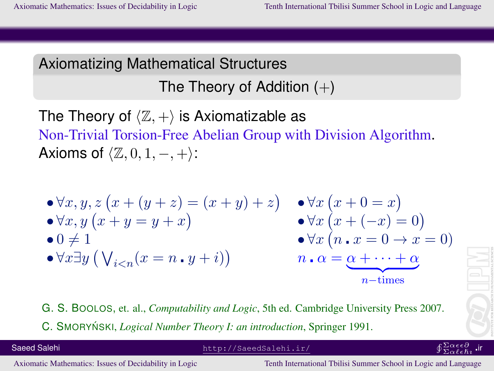The Theory of Addition  $(+)$ 

The Theory of  $\langle \mathbb{Z}, + \rangle$  is Axiomatizable as Non-Trivial Torsion-Free Abelian Group with Division Algorithm. Axioms of  $\langle \mathbb{Z}, 0, 1, -, + \rangle$ :

$$
\begin{array}{ll}\n\bullet \forall x, y, z \left( x + (y + z) = (x + y) + z \right) & \bullet \forall x \left( x + 0 = x \right) \\
\bullet \forall x, y \left( x + y = y + x \right) & \bullet \forall x \left( x + (-x) = 0 \right) \\
\bullet 0 \neq 1 & \bullet \forall x \left( n \cdot x = 0 \to x = 0 \right) \\
\bullet \forall x \exists y \left( \bigvee_{i < n} (x = n \cdot y + i) \right) & n \cdot \alpha = \underbrace{\alpha + \dots + \alpha}_{n - \text{times}}\n\end{array}
$$

G. S. BOOLOS, et. al., *Computability and Logic*, 5th ed. Cambridge University Press 2007. C. SMORYŃSKI, *Logical Number Theory I: an introduction*, Springer 1991.

Saeed Salehi http://SaeedSalehi.ir/

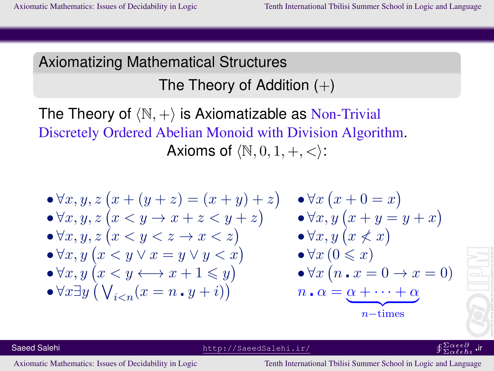The Theory of Addition  $(+)$ 

The Theory of  $\langle \mathbb{N}, + \rangle$  is Axiomatizable as Non-Trivial Discretely Ordered Abelian Monoid with Division Algorithm. Axioms of  $\langle \mathbb{N}, 0, 1, +, \langle \rangle$ :

$$
\begin{array}{ll}\n\bullet \forall x, y, z \left( x + (y + z) = (x + y) + z \right) & \bullet \forall x \left( x + 0 = x \right) \\
\bullet \forall x, y, z \left( x < y \to x + z < y + z \right) & \bullet \forall x, y \left( x + y = y + x \right) \\
\bullet \forall x, y, z \left( x < y < z \to x < z \right) & \bullet \forall x, y \left( x \nleq x \right) \\
\bullet \forall x, y \left( x < y \vee x = y \vee y < x \right) & \bullet \forall x \left( 0 \leq x \right) \\
\bullet \forall x, y \left( x < y \leftarrow x + 1 \leq y \right) & \bullet \forall x \left( n \cdot x = 0 \to x = 0 \right) \\
\bullet \forall x \exists y \left( \bigvee_{i < n} (x = n \cdot y + i) \right) & \quad n \cdot \alpha = \underbrace{\alpha + \cdots + \alpha}_{n \text{-times}}\n\end{array}
$$

Saeed Salehi http://SaeedSalehi.ir/

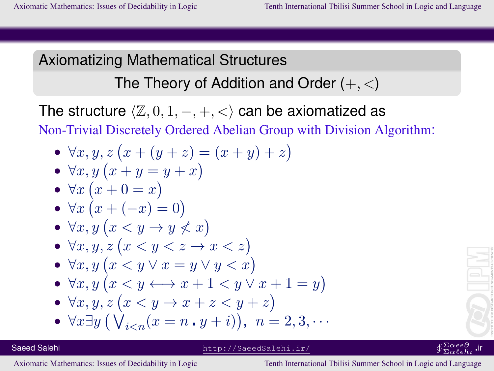The Theory of Addition and Order  $(+, <)$ 

The structure  $\langle \mathbb{Z}, 0, 1, -, +, < \rangle$  can be axiomatized as Non-Trivial Discretely Ordered Abelian Group with Division Algorithm:

•  $\forall x, y, z (x + (y + z) = (x + y) + z)$ 

• 
$$
\forall x, y \left( x + y = y + x \right)
$$

• 
$$
\forall x (x + 0 = x)
$$

• 
$$
\forall x \left( x + (-x) = 0 \right)
$$

• 
$$
\forall x, y \ (x \leq y \rightarrow y \nless x)
$$

$$
\bullet \ \forall x, y, z \ (x < y < z \rightarrow x < z)
$$

• 
$$
\forall x, y \left( x < y \lor x = y \lor y < x \right)
$$

• 
$$
\forall x, y \ (x \leq y \longleftrightarrow x + 1 < y \lor x + 1 = y)
$$

• 
$$
\forall x, y, z \ (x < y \rightarrow x + z < y + z)
$$

• 
$$
\forall x \exists y \left( \bigvee_{i < n} (x = n \cdot y + i) \right), \quad n = 2, 3, \dots
$$

#### Saeed Salehi http://SaeedSalehi.ir/

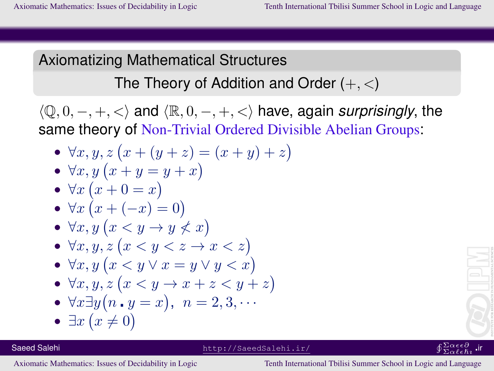The Theory of Addition and Order  $(+, <)$ 

 $\langle \mathbb{Q}, 0, -, +, < \rangle$  and  $\langle \mathbb{R}, 0, -, +, < \rangle$  have, again *surprisingly*, the same theory of Non-Trivial Ordered Divisible Abelian Groups:

- $\forall x, y, z (x + (y + z) = (x + y) + z)$
- $\forall x, y \ (x + y = y + x)$
- $\forall x (x+0=x)$
- $\forall x (x + (-x) = 0)$
- $\forall x, y \ (x \leq y \rightarrow y \nleq x)$
- $\forall x, y, z \ (x \leq y \leq z \rightarrow x \leq z)$
- $\forall x, y \ (x \leq y \lor x = y \lor y \leq x)$
- $\forall x, y, z \ (x \leq y \rightarrow x + z \leq y + z)$

• 
$$
\forall x \exists y (n \cdot y = x), \; n = 2, 3, \cdots
$$

•  $\exists x (x \neq 0)$ 



 $\overline{\Sigma}\alpha \ell \epsilon \hbar \imath$ ir

Saeed Salehi http://SaeedSalehi.ir/ uΣα∂∂α∂α∂αdehi.ir/ uΣα∂∂α∂α∂αdehi.ir/ uΣα∂∂α∂α∂α∂α∂α∂α∂α∂α∂α∂α∂α∂α∂α∂α∂α∂α∂α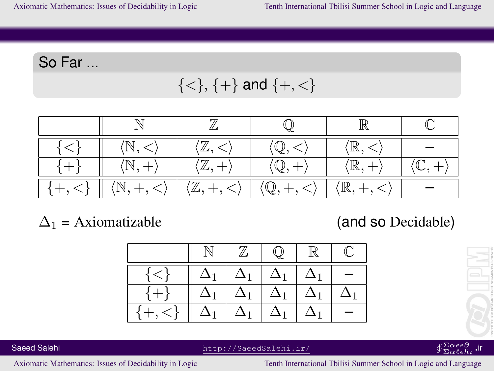So Far ...

$$
\{<\},\,\{+\}\text{ and }\{+,<\}
$$

|          |                                    | ΊΖ,                                |                            | $\langle \mathbb{R},<$ |  |
|----------|------------------------------------|------------------------------------|----------------------------|------------------------|--|
|          | $(\mathbb{N},+)$                   | $\langle \mathbb{Z}, + \rangle$    |                            | $\mathbb{R}, +$        |  |
| $+, <\}$ | $\langle \mathbb{N}, +, < \rangle$ | $\langle \mathbb{Z}, +, < \rangle$ | $\mathbb{Q}, +, < \rangle$ | $(\mathbb{R},+,<)$     |  |

 $\Delta_1$  = Axiomatizable (and so Decidable)





#### $^{\Sigma\alpha\epsilon\epsilon\partial}_{\Sigma\alpha\ell\epsilon\hbar\imath}$  .ir

Saeed Salehi http://SaeedSalehi.ir/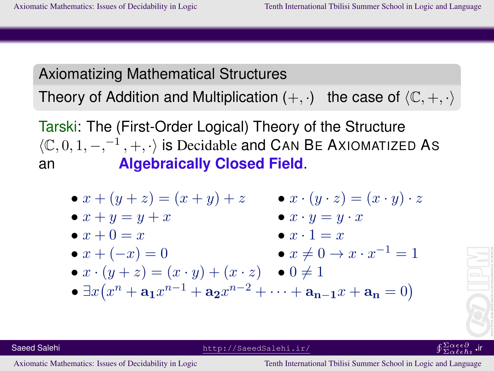Theory of Addition and Multiplication  $(+, \cdot)$  the case of  $\langle \mathbb{C}, +, \cdot \rangle$ 

Tarski: The (First-Order Logical) Theory of the Structure  $\langle \mathbb{C}, 0, 1, -,^{-1}, +, \cdot \rangle$  is Decidable and CAN BE AXIOMATIZED As an **Algebraically Closed Field**.

\n- \n
$$
x + (y + z) = (x + y) + z
$$
\n
\n- \n
$$
x + y = y + x
$$
\n
\n- \n
$$
x + 0 = x
$$
\n
\n- \n
$$
x + (-x) = 0
$$
\n
\n- \n
$$
x + (-x) = 0
$$
\n
\n- \n
$$
x + (y + z) = (x \cdot y) + (x \cdot z)
$$
\n
\n- \n
$$
x + (y + z) = (x \cdot y) + (x \cdot z)
$$
\n
\n- \n
$$
x + (y + z) = (x \cdot y) + (x \cdot z)
$$
\n
\n- \n
$$
x + (y + z) = (x \cdot y) + (x \cdot z)
$$
\n
\n- \n
$$
x + (y + z) = (x \cdot y) + (x \cdot z)
$$
\n
\n- \n
$$
x + (y + z) = (x \cdot y) + (x \cdot z)
$$
\n
\n- \n
$$
x + (y + z) = (x \cdot y) + (x \cdot z)
$$
\n
\n- \n
$$
x + (y + z) = (x \cdot y) + (x \cdot z)
$$
\n
\n- \n
$$
x + (y + z) = (x \cdot y) + (x \cdot z)
$$
\n
\n- \n
$$
x + (y + z) = (x \cdot y) + (x \cdot z) + (x \cdot z) + (x \cdot z) + (x \cdot z) + (x \cdot z) + (x \cdot z) + (x \cdot z) + (x \cdot z) + (x \cdot z) + (x \cdot z) + (x \cdot z) + (x \cdot z) + (x \cdot z) + (x \cdot z) + (x \cdot z) + (x \cdot z) + (x \cdot z) + (x \cdot z) + (x \cdot z) + (x \cdot z) + (x \cdot z) + (x \cdot z) + (x \cdot z) + (x \cdot z) + (x \cdot z) + (x \cdot z) + (x \cdot z) + (x \cdot z) + (x \cdot z) + (x \cdot z) + (x \cdot z) + (x \cdot z) + (x \cdot z) + (x \cdot z) + (x \cdot z) + (x \cdot z) + (x \cdot z) + (x \cdot z) + (x \cdot z) + (x \
$$



Saeed Salehi http://SaeedSalehi.ir/ uΣα∂∂α∂α∂αdehi.ir/ uΣα∂∂α∂α∂αdehi.ir/ uΣα∂∂α∂α∂α∂α∂α∂α∂α∂α∂α∂α∂α∂α∂α∂α∂α∂α∂α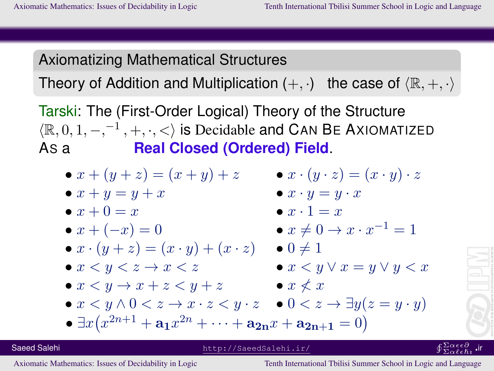Theory of Addition and Multiplication  $(+, \cdot)$  the case of  $\langle \mathbb{R}, +, \cdot \rangle$ 

Tarski: The (First-Order Logical) Theory of the Structure  $\langle \mathbb{R}, 0, 1, -,^{-1}, +, \cdot, < \rangle$  is Decidable and CAN BE AXIOMATIZED AS a **Real Closed (Ordered) Field**.

•  $x + (y + z) = (x + y) + z$  •  $x \cdot (y \cdot z) = (x \cdot y) \cdot z$ •  $x + y = y + x$  •  $x \cdot y = y \cdot x$  $\bullet x + 0 = x$   $\bullet x \cdot 1 = x$ •  $x + (-x) = 0$  $\bullet x \neq 0 \rightarrow x \cdot x^{-1} = 1$  $\bullet x \cdot (y + z) = (x \cdot y) + (x \cdot z) \quad \bullet 0 \neq 1$  $\bullet x \leq y \leq z \rightarrow x \leq z$   $\bullet x \leq y \vee x = y \vee y \leq x$  $\bullet x \leq y \rightarrow x + z \leq y + z$   $\bullet x \nless x$ •  $x < y \wedge 0 < z \rightarrow x \cdot z < y \cdot z$  •  $0 < z \rightarrow \exists y (z = y \cdot y)$ •  $\exists x (x^{2n+1} + a_1 x^{2n} + \cdots + a_{2n} x + a_{2n+1} = 0)$ 

Saeed Salehi http://SaeedSalehi.ir/

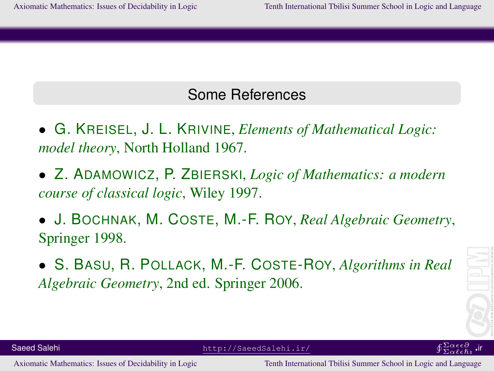#### Some References

- G. KREISEL, J. L. KRIVINE, *Elements of Mathematical Logic: model theory*, North Holland 1967.
- Z. ADAMOWICZ, P. ZBIERSKI, *Logic of Mathematics: a modern course of classical logic*, Wiley 1997.
- J. BOCHNAK, M. COSTE, M.-F. ROY, *Real Algebraic Geometry*, Springer 1998.
- S. BASU, R. POLLACK, M.-F. COSTE-ROY, *Algorithms in Real Algebraic Geometry*, 2nd ed. Springer 2006.



Saeed Salehi http://SaeedSalehi.ir/

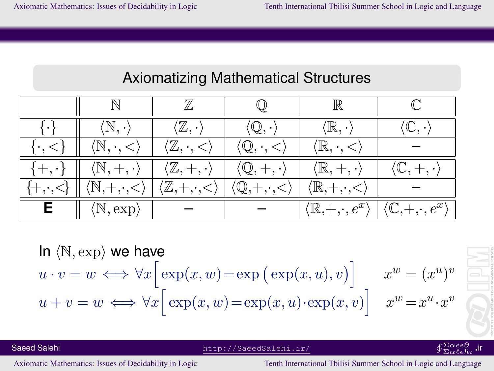|                       |                                              |                                              |                                           | ℝ                                           |                                             |
|-----------------------|----------------------------------------------|----------------------------------------------|-------------------------------------------|---------------------------------------------|---------------------------------------------|
| l . l                 | $\langle \mathbb{N}, \cdot \rangle$          | $\langle \mathbb{Z}, \cdot \rangle$          | $\langle \mathbb{Q}, \cdot \rangle$       | $\langle \mathbb{R}, \cdot \rangle$         | $\mathbb{C}$ .                              |
| $\{\cdot, <$          | $\langle \mathbb{N}, \cdot, < \rangle$       | $\langle \mathbb{Z}, \cdot, <$               | $\langle \mathbb{Q}, \cdot, < \rangle$    | $\langle \mathbb{R}, \cdot, \lt$            |                                             |
| $\{+, \cdot\}$        | $\langle \mathbb{N}, +, \cdot \rangle$       | $\langle \mathbb{Z}, +, \cdot \rangle$       | $\langle \mathbb{Q}, +, \cdot \rangle$    | $\langle \mathbb{R}, +, \cdot \rangle$      | $\langle \mathbb{C}, +, \cdot \rangle$      |
| $\{+, \cdot, \leq \}$ | $\  \langle \mathbb{N}, +, \cdot, < \rangle$ | $\langle \mathbb{Z}, +, \cdot, \leq \rangle$ | $\langle \mathbb{Q}, +, \cdot, < \rangle$ | $\langle \mathbb{R}, +, \cdot, < \rangle$   |                                             |
| Е.                    | $\langle \mathbb{N}, \exp \rangle$           |                                              |                                           | $\langle \mathbb{R}, +, \cdot, e^x \rangle$ | $\langle \mathbb{C}, +, \cdot, e^x \rangle$ |

In  $\langle \mathbb{N}, \exp \rangle$  we have  $u \cdot v = w \iff \forall x \big[ \exp(x, w) = \exp(\exp(x, u), v) \big]$  $x^w = (x^u)^v$  $u + v = w \iff \forall x \big[ \exp(x, w) = \exp(x, u) \cdot \exp(x, v) \big]$  $x^w = x^u \cdot x^v$ 

Saeed Salehi http://SaeedSalehi.ir/ uΣα∂∂α∂α∂αdehi.ir/ uΣα∂∂α∂α∂αdehi.ir/ uΣα∂∂α∂α∂α∂α∂α∂α∂α∂α∂α∂α∂α∂α∂α∂α∂α∂α∂α

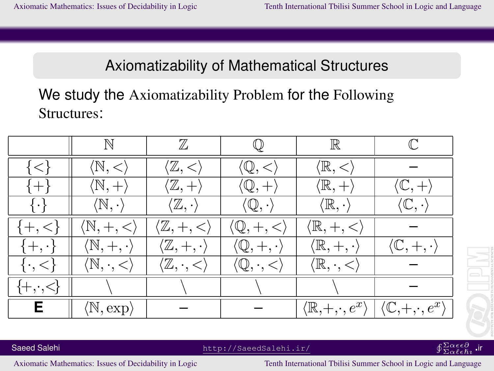## Axiomatizability of Mathematical Structures

## We study the Axiomatizability Problem for the Following Structures:

|                       | $\mathbb N$                              | $\mathbb Z$                            |                                        | $\mathbb R$                                 |                                             |
|-----------------------|------------------------------------------|----------------------------------------|----------------------------------------|---------------------------------------------|---------------------------------------------|
| $\{<\}$               | $\langle \mathbb{N}, < \rangle$          | $\langle \mathbb{Z}, < \rangle$        | $\langle \mathbb{Q}, < \rangle$        | $\langle \mathbb{R}, < \rangle$             |                                             |
| $\{+\}$               | $\langle \mathbb{N}, + \rangle$          | $\langle \mathbb{Z}, + \rangle$        | $\langle \mathbb{Q}, + \rangle$        | $\langle \mathbb{R}, + \rangle$             | $\langle \mathbb{C}, + \rangle$             |
| $\{\cdot\}$           | $\langle \mathbb{N}, \cdot \rangle$      | $\langle \mathbb{Z}, \cdot \rangle$    | $\langle \mathbb{Q}, \cdot \rangle$    | $\langle \mathbb{R}, \cdot \rangle$         | $\langle \mathbb{C}, \cdot \rangle$         |
| $\{+,$                | $\langle \mathbb{N}, +, < \rangle$       | $(\mathbb{Z},+,<)$                     | $\langle \mathbb{Q}, +, < \rangle$     | $\langle \mathbb{R}, +, < \rangle$          |                                             |
| $\{+, \cdot\}$        | $\langle \mathbb{N}, +, \cdot \rangle$   | $\langle \mathbb{Z}, +, \cdot \rangle$ | $\langle \mathbb{Q}, +, \cdot \rangle$ | $\langle \mathbb{R}, +, \cdot \rangle$      | $\langle \mathbb{C}, +, \cdot \rangle$      |
| $\{\cdot, \leq\}$     | $\langle \mathbb{N}, \cdot, \lt \rangle$ | $\langle \mathbb{Z}, \cdot, < \rangle$ | $\langle \mathbb{Q}, \cdot, < \rangle$ | $\langle \mathbb{R}, \cdot, \lt \rangle$    |                                             |
| $\{+, \cdot, \leq \}$ |                                          |                                        |                                        |                                             |                                             |
| E.                    | $\langle \mathbb{N}, \exp \rangle$       |                                        |                                        | $\langle \mathbb{R}, +, \cdot, e^x \rangle$ | $\langle \mathbb{C}, +, \cdot, e^x \rangle$ |

Saeed Salehi http://SaeedSalehi.ir/

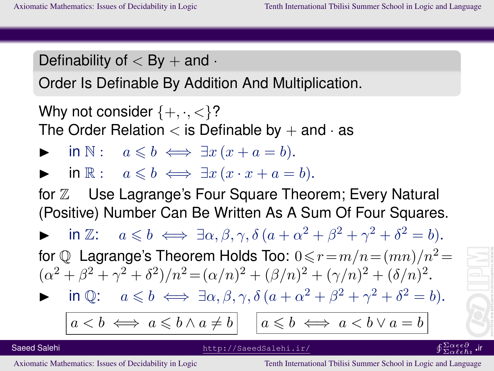## Definability of  $<$  By  $+$  and  $\cdot$

Order Is Definable By Addition And Multiplication.

Why not consider  $\{+, \cdot, \lt\}$ ? The Order Relation  $<$  is Definable by  $+$  and  $\cdot$  as

- $\mathsf{in} \ \mathbb{N}: \quad a \leqslant b \iff \exists x \, (x + a = b).$
- **►** in  $\mathbb{R}$ :  $a \leq b \iff \exists x (x \cdot x + a = b).$

for  $\mathbb Z$  Use Lagrange's Four Square Theorem; Every Natural (Positive) Number Can Be Written As A Sum Of Four Squares.

 $\triangleright$  in Z:  $a \leq b \iff \exists \alpha, \beta, \gamma, \delta \left( a + \alpha^2 + \beta^2 + \gamma^2 + \delta^2 = b \right)$ .

for  $\mathbb O$  Lagrange's Theorem Holds Too:  $0 \le r = m/n = (mn)/n^2 =$  $(\alpha^2 + \beta^2 + \gamma^2 + \delta^2)/n^2 = (\alpha/n)^2 + (\beta/n)^2 + (\gamma/n)^2 + (\delta/n)^2$ .

$$
\triangleright \quad \text{in } \mathbb{Q}: \quad a \leq b \iff \exists \alpha, \beta, \gamma, \delta \left( a + \alpha^2 + \beta^2 + \gamma^2 + \delta^2 = b \right).
$$

 $a < b \iff a \leq b \land a \neq b$ 

$$
a \leqslant b \iff a < b \lor a = b
$$

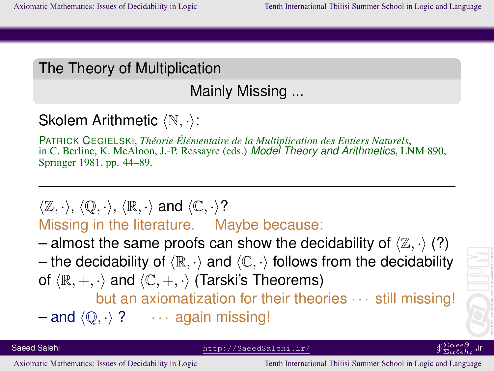### The Theory of Multiplication

Mainly Missing ...

## Skolem Arithmetic  $\langle \mathbb{N}, \cdot \rangle$ :

PATRICK CEGIELSKI, *Theorie ´ El´ ementaire de la Multiplication des Entiers Naturels ´* , in C. Berline, K. McAloon, J.-P. Ressayre (eds.) *Model Theory and Arithmetics*, LNM 890, Springer 1981, pp. 44–89.

## $\langle \mathbb{Z}, \cdot \rangle$ ,  $\langle \mathbb{Q}, \cdot \rangle$ ,  $\langle \mathbb{R}, \cdot \rangle$  and  $\langle \mathbb{C}, \cdot \rangle$ ? Missing in the literature. Maybe because:

- almost the same proofs can show the decidability of  $\langle \mathbb{Z}, \cdot \rangle$  (?)
- the decidability of  $\langle \mathbb{R}, \cdot \rangle$  and  $\langle \mathbb{C}, \cdot \rangle$  follows from the decidability of  $\langle \mathbb{R}, +, \cdot \rangle$  and  $\langle \mathbb{C}, +, \cdot \rangle$  (Tarski's Theorems)

but an axiomatization for their theories · · · still missing!

 $-$  and  $\langle \mathbb{Q}, \cdot \rangle$  ?  $\cdots$  again missing!

Saeed Salehi http://SaeedSalehi.ir/

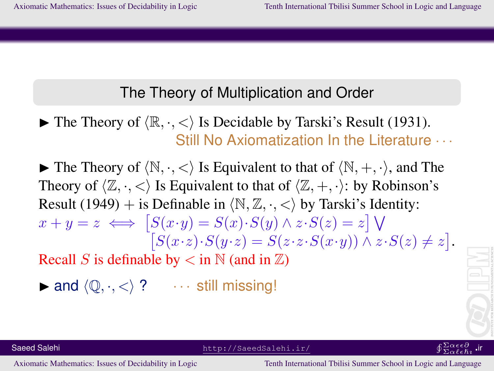#### The Theory of Multiplication and Order

 $\blacktriangleright$  The Theory of  $\langle \mathbb{R}, \cdot, \langle \cdot \rangle$  Is Decidable by Tarski's Result (1931). Still No Axiomatization In the Literature · · ·

 $\blacktriangleright$  The Theory of  $\langle \mathbb{N}, \cdot, \langle \cdot \rangle$  Is Equivalent to that of  $\langle \mathbb{N}, +, \cdot \rangle$ , and The Theory of  $\langle \mathbb{Z}, \cdot, \cdot \rangle$  Is Equivalent to that of  $\langle \mathbb{Z}, +, \cdot \rangle$ : by Robinson's Result (1949) + is Definable in  $\langle \mathbb{N}, \mathbb{Z}, \cdot, \cdot \rangle$  by Tarski's Identity:  $x + y = z \iff [S(x \cdot y) = S(x) \cdot S(y) \land z \cdot S(z) = z] \bigvee$  $[S(x \cdot z) \cdot S(y \cdot z) = S(z \cdot z \cdot S(x \cdot y)) \wedge z \cdot S(z) \neq z].$ Recall S is definable by  $\lt$  in N (and in  $\mathbb{Z}$ )

 $\triangleright$  and  $\langle \mathbb{Q}, \cdot, \lt \rangle$  ?  $\cdots$  still missing!

 $\overline{\Sigma}\alpha \ell \epsilon \hbar \imath$ ir

Saeed Salehi http://SaeedSalehi.ir/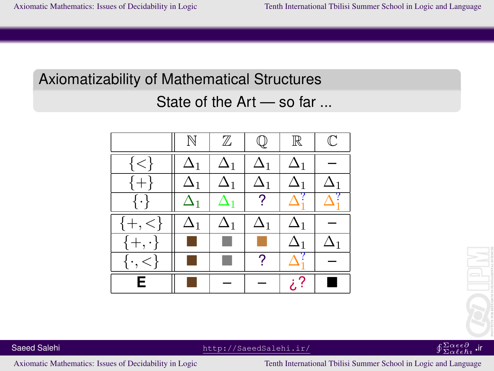# Axiomatizability of Mathematical Structures

### State of the Art — so far ...





#### $^{\Sigma\alpha\epsilon\epsilon\partial}_{\Sigma\alpha\ell\epsilon\hbar\imath}$  .ir

Saeed Salehi http://SaeedSalehi.ir/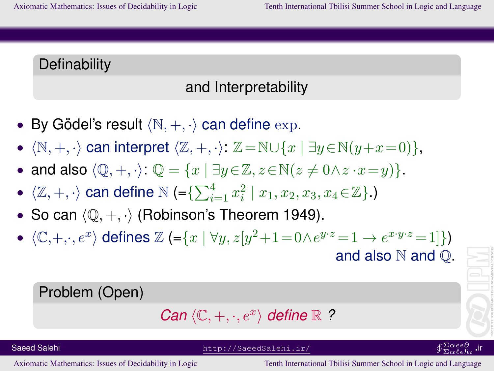#### **Definability**

## and Interpretability

- By Gödel's result  $\langle \mathbb{N}, +, \cdot \rangle$  can define  $\exp$ .
- $\langle \mathbb{N}, +, \cdot \rangle$  can interpret  $\langle \mathbb{Z}, +, \cdot \rangle$ :  $\mathbb{Z} = \mathbb{N} \cup \{x \mid \exists y \in \mathbb{N}(y+x=0)\},$
- and also  $\langle \mathbb{Q}, +, \cdot \rangle$ :  $\mathbb{Q} = \{x \mid \exists y \in \mathbb{Z}, z \in \mathbb{N} (z \neq 0 \land z \cdot x = y) \}.$
- $\bullet \ \ \langle \mathbb{Z}, +, \cdot \rangle$  can define  $\mathbb{N}$  (= $\{\sum_{i=1}^4 x_i^2 \mid x_1, x_2, x_3, x_4 \in \mathbb{Z}\}$ .)
- So can  $\langle \mathbb{Q}, +, \cdot \rangle$  (Robinson's Theorem 1949).
- $\langle \mathbb{C}, +, \cdot, e^x \rangle$  defines  $\mathbb{Z}$  (={x |  $\forall y, z[y^2+1=0 \wedge e^{y \cdot z} = 1 \rightarrow e^{x \cdot y \cdot z} = 1]\}$ ) and also  $\mathbb N$  and  $\mathbb Q$ .

#### Problem (Open)

Can 
$$
\langle \mathbb{C}, +, \cdot, e^x \rangle
$$
 define  $\mathbb{R}$  ?

Saeed Salehi http://SaeedSalehi.ir/

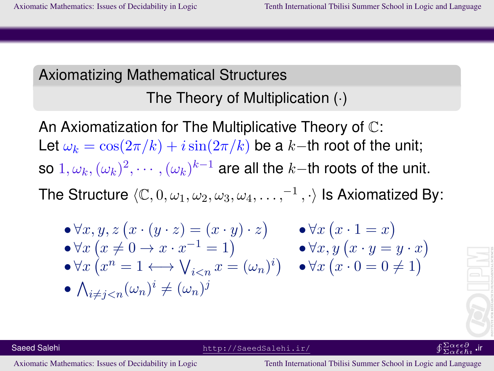## Axiomatizing Mathematical Structures The Theory of Multiplication (·)

An Axiomatization for The Multiplicative Theory of C: Let  $\omega_k = \cos(2\pi/k) + i\sin(2\pi/k)$  be a k–th root of the unit; so  $1, \omega_k, (\omega_k)^2, \cdots, (\omega_k)^{k-1}$  are all the  $k-$ th roots of the unit. The Structure  $\langle \mathbb C, 0, \omega_1, \omega_2, \omega_3, \omega_4, \ldots, ^{-1}, \cdot \rangle$  Is Axiomatized By:

$$
\begin{array}{ll}\n\bullet \forall x, y, z \left( x \cdot (y \cdot z) = (x \cdot y) \cdot z \right) & \bullet \forall x \left( x \cdot 1 = x \right) \\
\bullet \forall x \left( x \neq 0 \to x \cdot x^{-1} = 1 \right) & \bullet \forall x, y \left( x \cdot y = y \cdot x \right) \\
\bullet \forall x \left( x^n = 1 \longleftrightarrow \bigvee_{i < n} x = (\omega_n)^i \right) & \bullet \forall x \left( x \cdot 0 = 0 \neq 1 \right) \\
\bullet \bigwedge_{i \neq j < n} (\omega_n)^i \neq (\omega_n)^j\n\end{array}
$$

$$
\left\|\left[\begin{array}{c} \rule{0pt}{2ex} \rule{0pt}{2ex} \rule{0pt}{2ex} \rule{0pt}{2ex} \rule{0pt}{2ex} \rule{0pt}{2ex} \rule{0pt}{2ex} \rule{0pt}{2ex} \rule{0pt}{2ex} \rule{0pt}{2ex} \rule{0pt}{2ex} \rule{0pt}{2ex} \rule{0pt}{2ex} \rule{0pt}{2ex} \rule{0pt}{2ex} \rule{0pt}{2ex} \rule{0pt}{2ex} \rule{0pt}{2ex} \rule{0pt}{2ex} \rule{0pt}{2ex} \rule{0pt}{2ex} \rule{0pt}{2ex} \rule{0pt}{2ex} \rule{0pt}{2ex} \rule{0pt}{2ex} \rule{0pt}{2ex} \rule{0pt}{2ex} \rule{0pt}{2ex} \rule{0pt}{2ex} \rule{0pt}{2ex} \rule{0pt}{2ex} \rule{0pt}{2ex} \rule{0pt}{2ex} \rule{0pt}{2ex} \rule{0pt}{2ex} \rule{0pt}{2ex} \rule{0pt}{2ex} \rule{0pt}{2ex} \rule{0pt}{2ex} \rule{0pt}{2ex} \rule{0pt}{2ex} \rule{0pt}{2ex} \rule{0pt}{2ex} \rule{0pt}{2ex} \rule{0pt}{2ex} \rule{0pt}{2ex} \rule{0pt}{2ex} \rule{0pt}{2ex} \rule{0pt}{2ex} \rule{0pt}{2ex} \rule{0pt}{2ex} \rule{0pt}{2ex} \rule{0pt}{2ex} \rule{0pt}{2ex} \rule{0pt}{2ex} \rule{0pt}{2ex} \rule{0pt}{2ex} \rule{0pt}{2ex} \rule{0pt}{2ex} \rule{0pt}{2ex} \rule{0pt}{2ex} \rule{0pt}{2ex} \rule{0pt}{2ex} \rule{0pt}{2ex} \rule{0pt}{2ex} \rule{0pt}{2ex} \rule{0pt}{2ex} \rule{0pt}{2ex} \rule{0pt}{2ex} \rule{0pt}{2ex} \rule{0pt}{2ex} \rule{0pt}{2ex} \rule{0pt}{2ex} \rule{0pt}{2ex} \rule{0pt}{2ex} \rule{0pt}{2ex} \rule{0pt}{2ex} \rule{0pt}{2ex} \rule{0pt}{2ex} \rule{0pt}{2ex} \rule{0pt}{2ex} \rule{0pt}{2ex} \rule{0pt}{2ex} \
$$



Saeed Salehi http://SaeedSalehi.ir/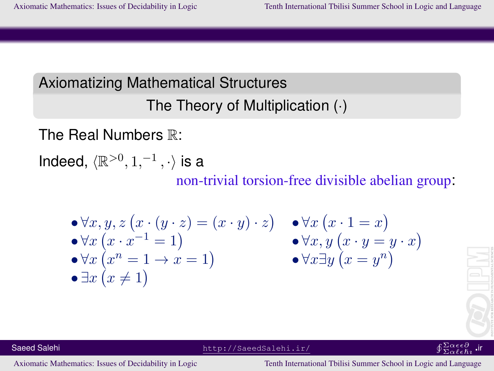## Axiomatizing Mathematical Structures The Theory of Multiplication (·)

The Real Numbers R:

Indeed,  $\langle \mathbb{R}^{>0}, 1, ^{-1}, \cdot \rangle$  is a

non-trivial torsion-free divisible abelian group:

$$
\begin{array}{ll}\n\bullet \forall x, y, z \left( x \cdot (y \cdot z) = (x \cdot y) \cdot z \right) & \bullet \forall x \left( x \cdot 1 = x \right) \\
\bullet \forall x \left( x \cdot x^{-1} = 1 \right) & \bullet \forall x, y \left( x \cdot y = y \cdot x \right) \\
\bullet \forall x \left( x^{n} = 1 \to x = 1 \right) & \bullet \forall x \exists y \left( x = y^{n} \right) \\
\bullet \exists x \left( x \neq 1 \right)\n\end{array}
$$



 $\overline{\Sigma}\alpha \ell \epsilon \hbar \imath$ 

Saeed Salehi http://SaeedSalehi.ir/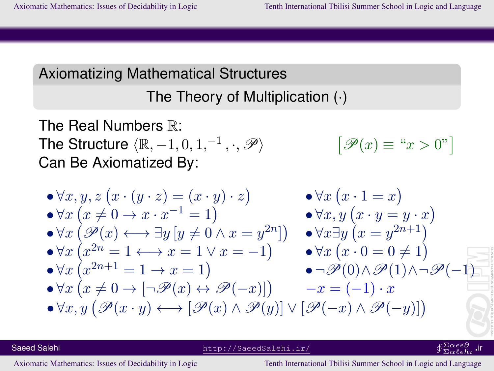## The Theory of Multiplication (·)

The Real Numbers  $\mathbb{R}$ : The Structure  $\langle \mathbb{R}, -1, 0, 1, ^{-1}, \cdot, \mathscr{P} \rangle$  $\big[\mathscr{P}(x) \equiv \degree x > 0\degree\big]$ Can Be Axiomatized By:

$$
\begin{array}{ll}\n\bullet \forall x, y, z \left( x \cdot (y \cdot z) = (x \cdot y) \cdot z \right) & \bullet \forall x \left( x \cdot 1 = x \right) \\
\bullet \forall x \left( x \neq 0 \to x \cdot x^{-1} = 1 \right) & \bullet \forall x, y \left( x \cdot y = y \cdot x \right) \\
\bullet \forall x \left( \mathcal{P}(x) \longleftrightarrow \exists y \left[ y \neq 0 \land x = y^{2n} \right] \right) & \bullet \forall x \exists y \left( x = y^{2n+1} \right) \\
\bullet \forall x \left( x^{2n} = 1 \longleftrightarrow x = 1 \lor x = -1 \right) & \bullet \forall x \left( x \cdot 0 = 0 \neq 1 \right) \\
\bullet \forall x \left( x^{2n+1} = 1 \to x = 1 \right) & \bullet \neg \mathcal{P}(0) \land \mathcal{P}(1) \land \neg \mathcal{P}(-1) \\
\bullet \forall x \left( x \neq 0 \to [\neg \mathcal{P}(x) \leftrightarrow \mathcal{P}(-x)] \right) & \neg x = (-1) \cdot x \\
\bullet \forall x, y \left( \mathcal{P}(x \cdot y) \longleftrightarrow \left[ \mathcal{P}(x) \land \mathcal{P}(y) \right] \lor \left[ \mathcal{P}(-x) \land \mathcal{P}(-y) \right] \right)\n\end{array}
$$

Saeed Salehi http://SaeedSalehi.ir/

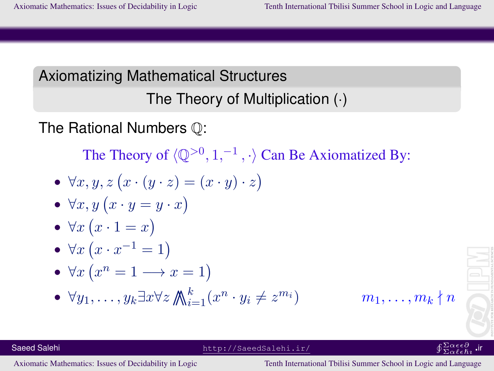## Axiomatizing Mathematical Structures The Theory of Multiplication (·)

The Rational Numbers Q:

The Theory of  $\langle \mathbb{Q}^{>0}, 1, ^{-1}, \cdot \rangle$  Can Be Axiomatized By:

• 
$$
\forall x, y, z (x \cdot (y \cdot z) = (x \cdot y) \cdot z)
$$

• 
$$
\forall x, y (x \cdot y = y \cdot x)
$$

• 
$$
\forall x (x \cdot 1 = x)
$$

• 
$$
\forall x (x \cdot x^{-1} = 1)
$$

• 
$$
\forall x \left( x^n = 1 \longrightarrow x = 1 \right)
$$

• 
$$
\forall y_1, \dots, y_k \exists x \forall z \mathbb{A}_{i=1}^k (x^n \cdot y_i \neq z^{m_i})
$$

Saeed Salehi http://SaeedSalehi.ir/

 $m_1, \ldots, m_k \nmid n$ 



#### $^{\Sigma\alpha\epsilon\epsilon\partial}_{\Sigma\alpha\ell\epsilon\hbar\imath}$  .ir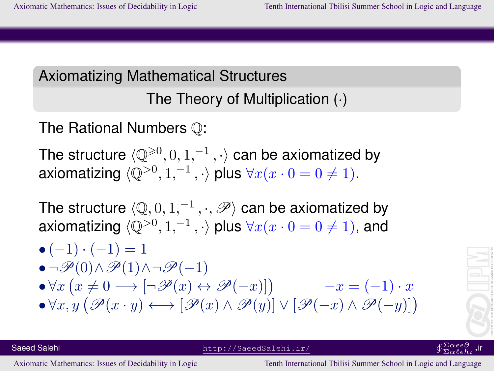## The Theory of Multiplication (·)

The Rational Numbers Q:

The structure  $\langle \mathbb{Q}^{\geqslant 0}, 0, 1, ^{-1}, \cdot \rangle$  can be axiomatized by axiomatizing  $\langle \mathbb{Q}^{>0}, 1, ^{-1}, \cdot \rangle$  plus  $\forall x(x \cdot 0 = 0 \neq 1)$ .

The structure  $\langle \mathbb Q, 0, 1, ^{-1}, \cdot, \mathscr P \rangle$  can be axiomatized by axiomatizing  $\langle \mathbb{Q}^{>0}, 1, ^{-1}, \cdot \rangle$  plus  $\forall x(x \cdot 0 = 0 \neq 1),$  and

$$
\begin{array}{l} \bullet\, (-1) \cdot (-1) = 1 \\ \bullet \neg \mathscr{P}(0) \land \mathscr{P}(1) \land \neg \mathscr{P}(-1) \\ \bullet \forall x \left( x \neq 0 \longrightarrow [\neg \mathscr{P}(x) \leftrightarrow \mathscr{P}(-x)] \right) \\ \bullet \forall x, y \left( \mathscr{P}(x \cdot y) \longleftrightarrow [\mathscr{P}(x) \land \mathscr{P}(y)] \lor [\mathscr{P}(-x) \land \mathscr{P}(-y)] \right) \end{array}
$$



 $\overline{\Sigma}\alpha \ell \epsilon \hbar \imath$ 

Saeed Salehi http://SaeedSalehi.ir/ uΣα∂∂α∂α∂αdehi.ir/ uΣα∂∂α∂α∂αdehi.ir/ uΣα∂∂α∂α∂α∂α∂α∂α∂α∂α∂α∂α∂α∂α∂α∂α∂α∂α∂α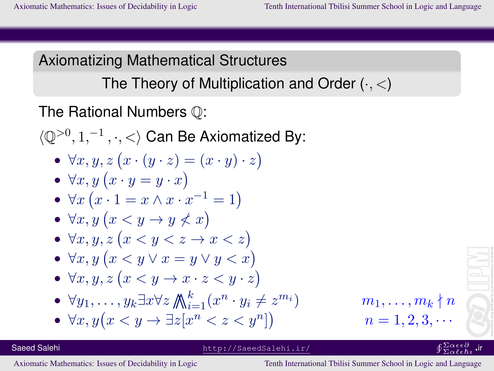The Theory of Multiplication and Order  $(\cdot, <)$ 

The Rational Numbers Q:

 $\langle \mathbb{Q}^{>0}, 1, ^{-1}, \cdot, < \rangle$  Can Be Axiomatized By:

•  $\forall x, y, z (x \cdot (y \cdot z) = (x \cdot y) \cdot z)$ 

• 
$$
\forall x, y \ (x \cdot y = y \cdot x)
$$

• 
$$
\forall x \left( x \cdot 1 = x \land x \cdot x^{-1} = 1 \right)
$$

•  $\forall x, y \ (x \leq y \rightarrow y \not\leq x)$ 

• 
$$
\forall x, y, z \ (x < y < z \rightarrow x < z)
$$

• 
$$
\forall x, y \ (x \leq y \lor x = y \lor y < x)
$$

• 
$$
\forall x, y, z \ (x < y \rightarrow x \cdot z < y \cdot z)
$$

• 
$$
\forall y_1, \ldots, y_k \exists x \forall z \mathbb{A}_{i=1}^k (x^n \cdot y_i \neq z^{m_i})
$$

• 
$$
\forall x, y \big( x < y \rightarrow \exists z [x^n < z < y^n] \big)
$$

$$
m_i)
$$
\n
$$
m_1, \ldots, m_k \nmid n
$$
\n
$$
n = 1, 2, 3, \cdots
$$

#### Saeed Salehi http://SaeedSalehi.ir/

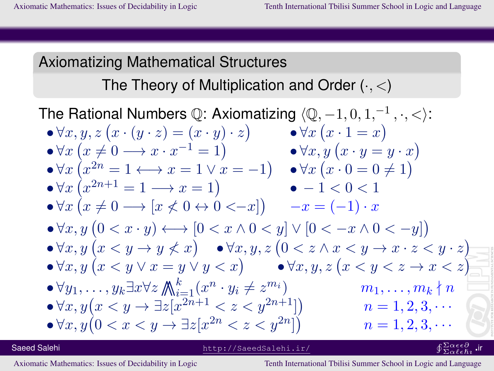The Theory of Multiplication and Order  $(\cdot, <)$ 

The Rational Numbers  $\mathbb Q$ : Axiomatizing  $\langle \mathbb Q, -1, 0, 1, ^{-1}, \cdot, < \rangle$ :  $\bullet \forall x, y, z (x \cdot (y \cdot z) = (x \cdot y) \cdot z)$  $\bullet \forall x (x \cdot 1 = x)$  $\bullet \forall x (x \neq 0 \longrightarrow x \cdot x^{-1} = 1)$  $\bullet \forall x, y (x \cdot y = y \cdot x)$  $\bullet \forall x (x^{2n} = 1 \longleftrightarrow x = 1 \lor x = -1)$  $\bullet \forall x (x \cdot 0 = 0 \neq 1)$  $\bullet \forall x (x^{2n+1} = 1 \longrightarrow x = 1)$  $\bullet$   $-1 < 0 < 1$  $\bullet \forall x (x \neq 0 \rightarrow [x \not< 0 \leftrightarrow 0 \leftrightarrow -x])$  $-x = (-1) \cdot x$  $\bullet \forall x, y \ (0 < x \cdot y) \longleftrightarrow [0 < x \land 0 < y] \lor [0 < -x \land 0 < -y]$  $\bullet \forall x, y \ (x \leq y \rightarrow y \not\leq x)$   $\bullet \forall x, y, z \ (0 \leq z \land x \leq y \rightarrow x \cdot z \leq y \cdot z)$  $\bullet \forall x, y \ (x \leq y \lor x = y \lor y \leq x)$   $\bullet \forall x, y, z \ (x \leq y \leq z \rightarrow x \leq z)$  $\bullet \forall y_1, \ldots, y_k \exists x \forall z \bigwedge_{i=1}^k (x^n \cdot y_i \neq z)$  $m_1, \ldots, m_k \nmid n$  $\bullet \forall x, y (x \leq y \rightarrow \exists z [x^{2n+1} \leq z \leq y^{2n+1}])$  $n = 1, 2, 3, \cdots$  $\bullet \forall x, y (0 < x < y \rightarrow \exists z [x^{2n} < z < y^{2n}])$  $n = 1, 2, 3, \cdots$ 

Saeed Salehi http://SaeedSalehi.ir/

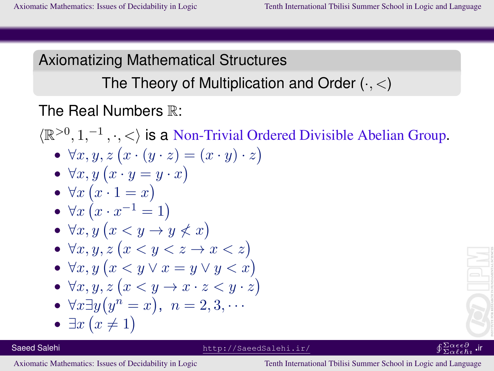The Theory of Multiplication and Order  $(\cdot, <)$ 

### The Real Numbers  $\mathbb{R}^n$

 $\langle \mathbb{R}^{>0}, 1,^{-1}, \cdot, \cdot \rangle$  is a Non-Trivial Ordered Divisible Abelian Group. •  $\forall x, y, z (x \cdot (y \cdot z) = (x \cdot y) \cdot z)$ •  $\forall x, y \ (x \cdot y = y \cdot x)$ •  $\forall x (x \cdot 1 = x)$ •  $\forall x (x \cdot x^{-1} = 1)$ •  $\forall x, y \ (x \leq y \rightarrow y \not\leq x)$ •  $\forall x, y, z \ (x \leq y \leq z \rightarrow x \leq z)$ •  $\forall x, y \ (x \leq y \lor x = y \lor y \leq x)$ •  $\forall x, y, z \ (x \leq y \rightarrow x \cdot z \leq y \cdot z)$ •  $\forall x \exists y (y^n = x), n = 2, 3, \cdots$ •  $\exists x (x \neq 1)$ 

http://SaeedSalehi.ir/

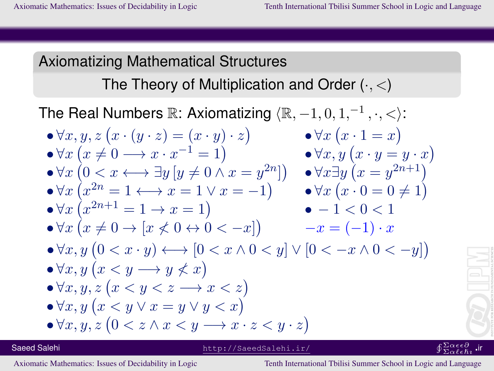The Theory of Multiplication and Order  $(\cdot, <)$ 

The Real Numbers  $\mathbb{R}$ : Axiomatizing  $\langle \mathbb{R}, -1, 0, 1, ^{-1}, \cdot, < \rangle$ :

$$
\begin{array}{ll}\n\bullet \forall x, y, z \left( x \cdot (y \cdot z) = (x \cdot y) \cdot z \right) & \bullet \forall x \left( x \cdot 1 = x \right) \\
\bullet \forall x \left( x \neq 0 \longrightarrow x \cdot x^{-1} = 1 \right) & \bullet \forall x, y \left( x \cdot y = y \cdot x \right) \\
\bullet \forall x \left( 0 < x \longleftrightarrow \exists y \left[ y \neq 0 \land x = y^{2n} \right] \right) & \bullet \forall x \exists y \left( x = y^{2n+1} \right)\n\end{array}
$$

$$
\begin{array}{l}\n\bullet \forall x \left( x^{2n} = 1 \longleftrightarrow x = 1 \lor x = -1 \right) \\
\bullet \forall x \left( x^{2n+1} = 1 \to x = 1 \right) \\
\bullet -1 < 0 < 1\n\end{array}
$$

$$
\bullet \forall x \left( x \neq 0 \to \left[ x \not\lt 0 \leftrightarrow 0 \leftarrow -x \right] \right) \qquad -x = (-1) \cdot x
$$

$$
\begin{array}{c}\n\bullet \forall x, y \ (0 < x \cdot y) \longleftrightarrow [0 < x \land 0 < y] \lor [0 < -x \land 0 < -y]) \\
\bullet \forall x, y \ (x < y \longrightarrow y \nless x)\n\end{array}
$$

$$
\bullet \forall x, y, z \ (x < y < z \longrightarrow x < z)
$$

$$
\bullet \forall x, y \ (x \le y \lor x = y \lor y < x)
$$

$$
\bullet \forall x, y, z \left(0 < z \land x < y \longrightarrow x \cdot z < y \cdot z\right)
$$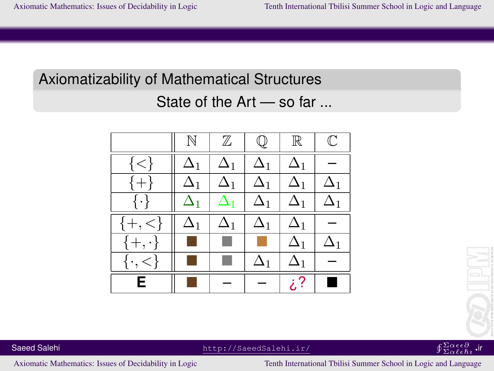# Axiomatizability of Mathematical Structures

## State of the Art — so far ...





#### $^{\Sigma\alpha\epsilon\epsilon\partial}_{\Sigma\alpha\ell\epsilon\hbar\imath}$  .ir

Saeed Salehi http://SaeedSalehi.ir/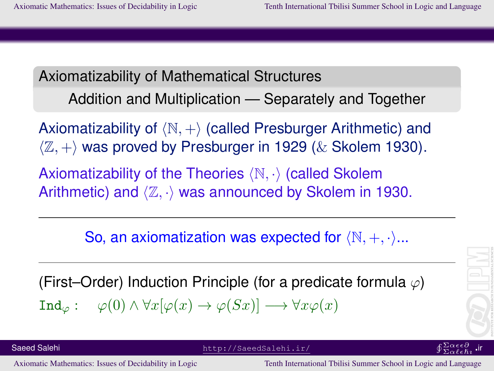Axiomatizability of Mathematical Structures Addition and Multiplication — Separately and Together

Axiomatizability of  $\langle \mathbb{N}, + \rangle$  (called Presburger Arithmetic) and  $\langle \mathbb{Z}, + \rangle$  was proved by Presburger in 1929 ( $\&$  Skolem 1930).

Axiomatizability of the Theories  $\langle \mathbb{N}, \cdot \rangle$  (called Skolem Arithmetic) and  $\langle \mathbb{Z}, \cdot \rangle$  was announced by Skolem in 1930.

So, an axiomatization was expected for  $(N, +, \cdot)...$ 

(First–Order) Induction Principle (for a predicate formula  $\varphi$ )  $\text{Ind}_{\varphi}: \varphi(0) \wedge \forall x [\varphi(x) \rightarrow \varphi(Sx)] \longrightarrow \forall x \varphi(x)$ 

Saeed Salehi http://SaeedSalehi.ir/ uΣα∂∂α∂α∂αdehi.ir/ uΣα∂∂α∂α∂αdehi.ir/ uΣα∂∂α∂α∂α∂α∂α∂α∂α∂α∂α∂α∂α∂α∂α∂α∂α∂α∂α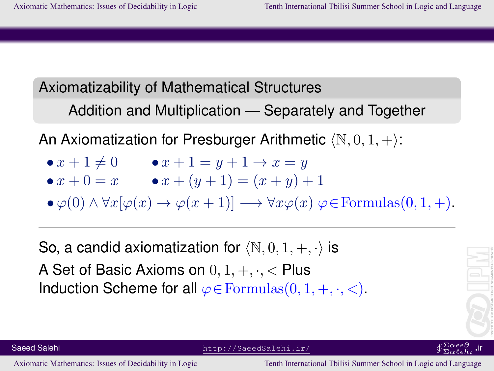#### Axiomatizability of Mathematical Structures

Addition and Multiplication — Separately and Together

An Axiomatization for Presburger Arithmetic  $\langle \mathbb{N}, 0, 1, +\rangle$ :

- $x + 1 \neq 0$   $x + 1 = y + 1 \to x = y$
- $x + 0 = x$   $x + (y + 1) = (x + y) + 1$

 $\bullet \varphi(0) \land \forall x [\varphi(x) \to \varphi(x+1)] \longrightarrow \forall x \varphi(x) \varphi \in \text{Formulas}(0,1,+).$ 

So, a candid axiomatization for  $\langle \mathbb{N}, 0, 1, +, \cdot \rangle$  is A Set of Basic Axioms on  $0, 1, +, \cdot, <$  Plus Induction Scheme for all  $\varphi \in \mathrm{Formulas}(0, 1, +, \cdot, <)$ .



 $\overline{\Sigma}\alpha \ell \epsilon \hbar \imath$ 

Saeed Salehi http://SaeedSalehi.ir/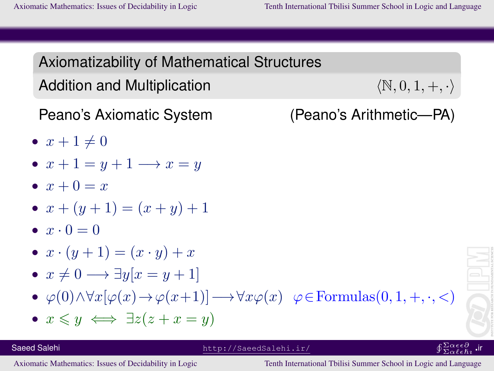Axiomatizability of Mathematical Structures Addition and Multiplication  $\langle N, 0, 1, +, \cdot \rangle$ Peano's Axiomatic System (Peano's Arithmetic—PA) •  $x + 1 \neq 0$ •  $x+1=y+1 \longrightarrow x=y$ •  $x + 0 = x$ •  $x + (y + 1) = (x + y) + 1$  $\bullet x \cdot 0 = 0$ •  $x \cdot (y+1) = (x \cdot y) + x$ •  $x \neq 0 \longrightarrow \exists y[x = y + 1]$ •  $\varphi(0) \land \forall x [\varphi(x) \to \varphi(x+1)] \longrightarrow \forall x \varphi(x) \quad \varphi \in \text{Formulas}(0, 1, +, \cdot, <)$ •  $x \leq y \iff \exists z (z + x = y)$ Saeed Salehi http://SaeedSalehi.ir/  $\overline{\Sigma}\alpha \ell \epsilon \hbar \imath$ 

[Axiomatic Mathematics: Issues of Decidability in Logic Tenth International Tbilisi Summer School in Logic and Language](#page-0-0)

ir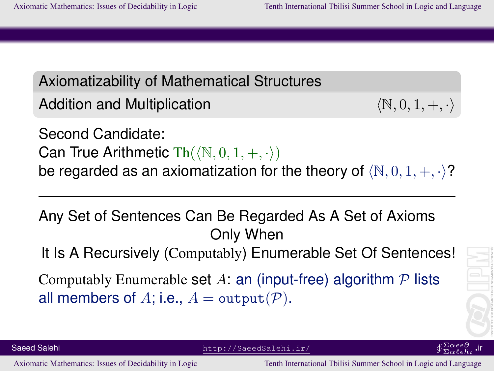Axiomatizability of Mathematical Structures Addition and Multiplication  $\langle N, 0, 1, +, \cdot \rangle$ Second Candidate: Can True Arithmetic  $\text{Th}(\langle \mathbb{N}, 0, 1, +, \cdot \rangle)$ be regarded as an axiomatization for the theory of  $(N, 0, 1, +, \cdot)$ ?

Any Set of Sentences Can Be Regarded As A Set of Axioms Only When

It Is A Recursively (Computably) Enumerable Set Of Sentences!

Computably Enumerable set A: an (input-free) algorithm  $\mathcal P$  lists all members of A; i.e.,  $A = \text{output}(\mathcal{P})$ .



Saeed Salehi http://SaeedSalehi.ir/ uΣα∂∂α∂α∂αdehi.ir/ uΣα∂∂α∂α∂αdehi.ir/ uΣα∂∂α∂α∂α∂α∂α∂α∂α∂α∂α∂α∂α∂α∂α∂α∂α∂α∂α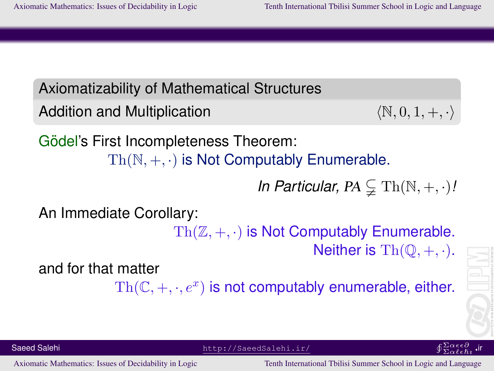Axiomatizability of Mathematical Structures

```
Addition and Multiplication \langle \mathbb{N}, 0, 1, +, \cdot \rangle
```
Gödel's First Incompleteness Theorem:  $Th(N, +, \cdot)$  is Not Computably Enumerable.

*In Particular, PA*  $\subsetneq$  Th( $\mathbb{N}, +, \cdot$ )*!* 

An Immediate Corollary:

 $Th(\mathbb{Z}, +, \cdot)$  is Not Computably Enumerable. Neither is  $\mathrm{Th}(\mathbb{O}, +, \cdot)$ .

and for that matter

 $\text{Th}(\mathbb{C}, +, \cdot, e^x)$  is not computably enumerable, either.



Saeed Salehi http://SaeedSalehi.ir/ uΣα∂∂α∂α∂αdehi.ir/ uΣα∂∂α∂α∂αdehi.ir/ uΣα∂∂α∂α∂α∂α∂α∂α∂α∂α∂α∂α∂α∂α∂α∂α∂α∂α∂α

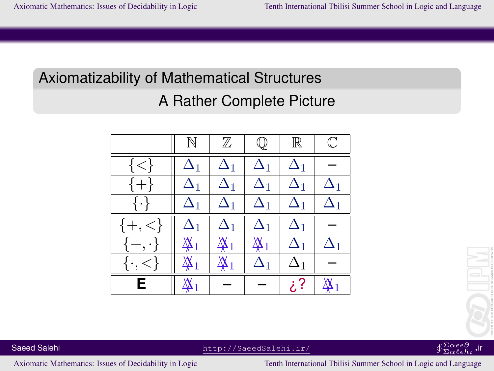## Axiomatizability of Mathematical Structures

## A Rather Complete Picture

|                   | N              | $\mathbb Z$    | $\mathbb Q$    | $\mathbb R$ | $\mathbb C$               |
|-------------------|----------------|----------------|----------------|-------------|---------------------------|
| $\{<\}$           | $\Delta_1$     | $\Delta_1$     | $\Delta_1$     | $\Delta_1$  |                           |
| $\{+\}$           | $\Delta_1$     | $\Delta_1$     | $\Delta_1$     | $\Delta_1$  | $\Delta_1$                |
| $\{\cdot\}$       | $\Delta_1$     | $\Delta_1$     | $\Delta_1$     | $\Delta_1$  | $\Delta_1$                |
| $\langle \}$      | $\Delta_1$     | $\Delta_1$     | $\Delta_1$     | $\Delta_1$  |                           |
| $\{+, \cdot\}$    | $\mathbb{X}_1$ | $\mathbb{X}_1$ | $\mathbb{X}_1$ | $\Delta_1$  | $\Delta_1$                |
| $\{\cdot, \leq\}$ | $\mathbb{X}_1$ | $\mathbb{X}_1$ | $\Delta_1$     | $\Delta_1$  |                           |
| Е                 | $\mathbb{X}_1$ |                |                | ? خ         | $\mathbf{\mathfrak{A}}_1$ |



#### $^{\Sigma\alpha\epsilon\epsilon\partial}_{\Sigma\alpha\ell\epsilon\hbar\imath}$  .ir

Saeed Salehi http://SaeedSalehi.ir/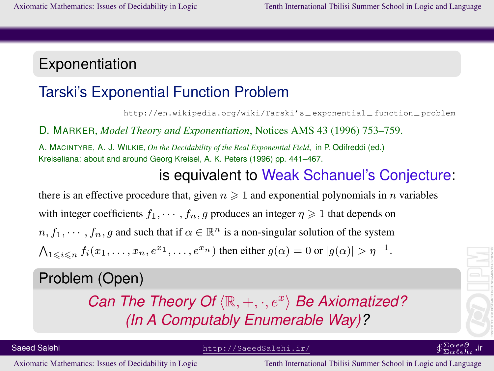## Exponentiation

## Tarski's Exponential Function Problem

http://en.wikipedia.org/wiki/Tarski's−exponential−function−problem

D. MARKER, *Model Theory and Exponentiation*, Notices AMS 43 (1996) 753–759.

A. MACINTYRE, A. J. WILKIE, *On the Decidability of the Real Exponential Field*, in P. Odifreddi (ed.) Kreiseliana: about and around Georg Kreisel, A. K. Peters (1996) pp. 441–467.

#### is equivalent to Weak Schanuel's Conjecture:

there is an effective procedure that, given  $n \geq 1$  and exponential polynomials in n variables with integer coefficients  $f_1, \dots, f_n, q$  produces an integer  $\eta \geq 1$  that depends on  $n, f_1, \dots, f_n, g$  and such that if  $\alpha \in \mathbb{R}^n$  is a non-singular solution of the system  $\bigwedge_{1\leqslant i\leqslant n}f_i(x_1,\ldots,x_n,e^{x_1},\ldots,e^{x_n})$  then either  $g(\alpha)=0$  or  $|g(\alpha)|>\eta^{-1}$ .

#### Problem (Open)

*Can The Theory Of*  $\langle \mathbb{R}, +, \cdot, e^x \rangle$  *Be Axiomatized? (In A Computably Enumerable Way)?*

Saeed Salehi http://SaeedSalehi.ir/

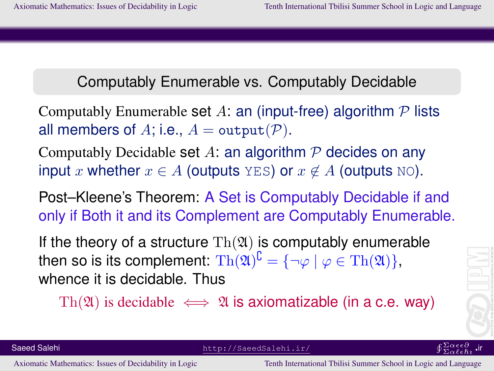#### Computably Enumerable vs. Computably Decidable

Computably Enumerable set A: an (input-free) algorithm  $P$  lists all members of A; i.e.,  $A = \text{output}(\mathcal{P})$ .

Computably Decidable set A: an algorithm  $P$  decides on any input x whether  $x \in A$  (outputs YES) or  $x \notin A$  (outputs NO).

Post–Kleene's Theorem: A Set is Computably Decidable if and only if Both it and its Complement are Computably Enumerable.

If the theory of a structure  $\text{Th}(\mathfrak{A})$  is computably enumerable then so is its complement:  $\text{Th}(\mathfrak{A})^\complement = \{ \neg \varphi \mid \varphi \in \text{Th}(\mathfrak{A}) \},$ whence it is decidable. Thus

Th(\vappa \tau \) is decidable  $\iff$  \,\) is axiomatizable (in a c.e. way)

Saeed Salehi http://SaeedSalehi.ir/ uΣα∂∂α∂α∂αdehi.ir/ uΣα∂∂α∂α∂αdehi.ir/ uΣα∂∂α∂α∂α∂α∂α∂α∂α∂α∂α∂α∂α∂α∂α∂α∂α∂α∂α

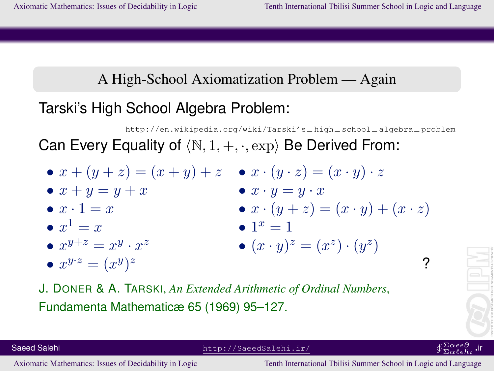### A High-School Axiomatization Problem — Again

## Tarski's High School Algebra Problem:

http://en.wikipedia.org/wiki/Tarski's−high−school−algebra−problem Can Every Equality of  $\langle N, 1, +, \cdot, \exp \rangle$  Be Derived From:

- $x + (y + z) = (x + y) + z$   $x \cdot (y \cdot z) = (x \cdot y) \cdot z$ •  $x + y = y + x$  •  $x \cdot y = y \cdot x$ •  $x \cdot 1 = x$  •  $x \cdot (y + z) = (x \cdot y) + (x \cdot z)$ •  $x^1 = x$  • 1  $\bullet$   $1^x = 1$ •  $x^{y+z} = x^y \cdot x$ z  $(x \cdot y)^z = (x^z) \cdot (y^z)$ •  $x^{y \cdot z} = (x^y)$  $z$  ?
- J. DONER & A. TARSKI, *An Extended Arithmetic of Ordinal Numbers*, Fundamenta Mathematicæ 65 (1969) 95–127.



 $\overline{\Sigma}\alpha \ell \epsilon \hbar \imath$ 

Saeed Salehi http://SaeedSalehi.ir/

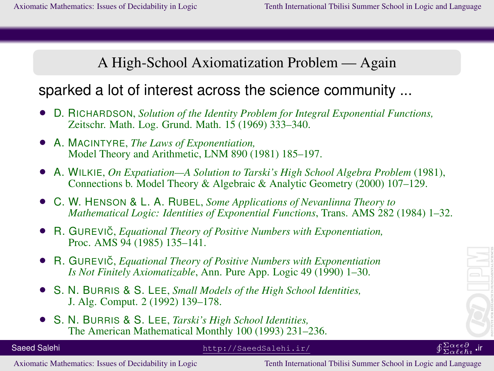A High-School Axiomatization Problem — Again

### sparked a lot of interest across the science community ...

- D. RICHARDSON, *Solution of the Identity Problem for Integral Exponential Functions,* Zeitschr. Math. Log. Grund. Math. 15 (1969) 333–340.
- A. MACINTYRE, *The Laws of Exponentiation,* Model Theory and Arithmetic, LNM 890 (1981) 185–197.
- A. WILKIE, *On Expatiation—A Solution to Tarski's High School Algebra Problem* (1981), Connections b. Model Theory & Algebraic & Analytic Geometry (2000) 107–129.
- C. W. HENSON & L. A. RUBEL, *Some Applications of Nevanlinna Theory to Mathematical Logic: Identities of Exponential Functions*, Trans. AMS 282 (1984) 1–32.
- R. GUREVIC˘, *Equational Theory of Positive Numbers with Exponentiation,* Proc. AMS 94 (1985) 135–141.
- R. GUREVIC, *Equational Theory of Positive Numbers with Exponentiation Is Not Finitely Axiomatizable*, Ann. Pure App. Logic 49 (1990) 1–30.
- S. N. BURRIS & S. LEE, *Small Models of the High School Identities,* J. Alg. Comput. 2 (1992) 139–178.
- S. N. BURRIS & S. LEE, *Tarski's High School Identities,* The American Mathematical Monthly 100 (1993) 231–236.

 $\overline{\Sigma}\alpha \ell \epsilon \hbar \imath$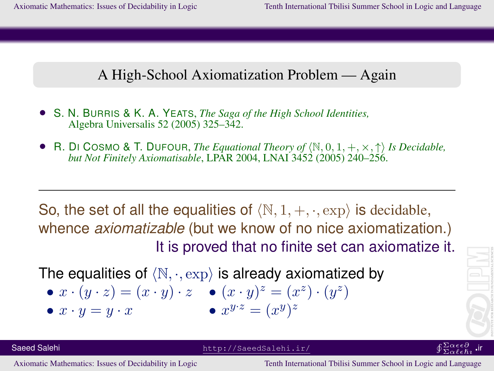#### A High-School Axiomatization Problem — Again

- S. N. BURRIS & K. A. YEATS, *The Saga of the High School Identities,* Algebra Universalis 52 (2005) 325–342.
- R. DI COSMO & T. DUFOUR, *The Equational Theory of*  $\langle \mathbb{N}, 0, 1, +, \times, \uparrow \rangle$  *Is Decidable, but Not Finitely Axiomatisable*, LPAR 2004, LNAI 3452 (2005) 240–256.

So, the set of all the equalities of  $\langle N, 1, +, \cdot, \exp \rangle$  is decidable, whence *axiomatizable* (but we know of no nice axiomatization.) It is proved that no finite set can axiomatize it.

The equalities of  $\langle N, \cdot, \exp \rangle$  is already axiomatized by

• 
$$
x \cdot (y \cdot z) = (x \cdot y) \cdot z
$$
  $\bullet (x \cdot y)^{z} = (x^{z}) \cdot (y^{z})$   
\n•  $x \cdot y = y \cdot x$   $\bullet x^{y \cdot z} = (x^{y})^{z}$ 

•  $x \cdot y = y \cdot x$ 

$$
\left\|\left(\begin{matrix} \rule{0pt}{5mm}\rule{0pt}{5mm}\rule{0pt}{5mm}\rule{0pt}{5mm}\rule{0pt}{5mm}\rule{0pt}{5mm}\rule{0pt}{5mm}\rule{0pt}{5mm}\rule{0pt}{5mm}\rule{0pt}{5mm}\rule{0pt}{5mm}\rule{0pt}{5mm}\rule{0pt}{5mm}\rule{0pt}{5mm}\rule{0pt}{5mm}\rule{0pt}{5mm}\rule{0pt}{5mm}\rule{0pt}{5mm}\rule{0pt}{5mm}\rule{0pt}{5mm}\rule{0pt}{5mm}\rule{0pt}{5mm}\rule{0pt}{5mm}\rule{0pt}{5mm}\rule{0pt}{5mm}\rule{0pt}{5mm}\rule{0pt}{5mm}\rule{0pt}{5mm}\rule{0pt}{5mm}\rule{0pt}{5mm}\rule{0pt}{5mm}\rule{0pt}{5mm}\rule{0pt}{5mm}\rule{0pt}{5mm}\rule{0pt}{5mm}\rule{0pt}{5mm}\rule{0pt}{5mm}\rule{0pt}{5mm}\rule{0pt}{5mm}\rule{0pt}{5mm}\rule{0pt}{5mm}\rule{0pt}{5mm}\rule{0pt}{5mm}\rule{0pt}{5mm}\rule{0pt}{5mm}\rule{0pt}{5mm}\rule{0pt}{5mm}\rule{0pt}{5mm}\rule{0pt}{5mm}\rule{0pt}{5mm}\rule{0pt}{5mm}\rule{0pt}{5mm}\rule{0pt}{5mm}\rule{0pt}{5mm}\rule{0pt}{5mm}\rule{0pt}{5mm}\rule{0pt}{5mm}\rule{0pt}{5mm}\rule{0pt}{5mm}\rule{0pt}{5mm}\rule{0pt}{5mm}\rule{0pt}{5mm}\rule{0pt}{5mm}\rule{0pt}{5mm}\rule{0pt}{5mm}\rule{0pt}{5mm}\rule{0pt}{5mm}\rule{0pt}{5mm}\rule{0pt}{5mm}\rule{0pt}{5mm}\rule{0pt}{5mm}\rule{0pt}{5mm}\rule{0pt}{5mm}\rule{0pt}{5mm}\rule{0pt}{5mm}\rule{0pt}{5mm}\rule{0pt}{5mm}\rule{0pt}{5mm}\rule{0pt}{5mm}\rule{0pt}{5mm}\rule{0pt}{5mm}\rule{0pt}{5mm}\rule{0pt}{5mm}\rule{0pt}{5mm}\rule{0pt}{5mm}\rule{0pt}{5mm}\rule{0pt}{5mm}\rule{0pt}{5mm}\rule{0pt}{5mm}\rule{0pt}{5mm}\rule{0pt}{5mm}\rule{0pt}{5mm}\rule{0pt}{5mm}\rule{0pt}{
$$

Saeed Salehi http://SaeedSalehi.ir/